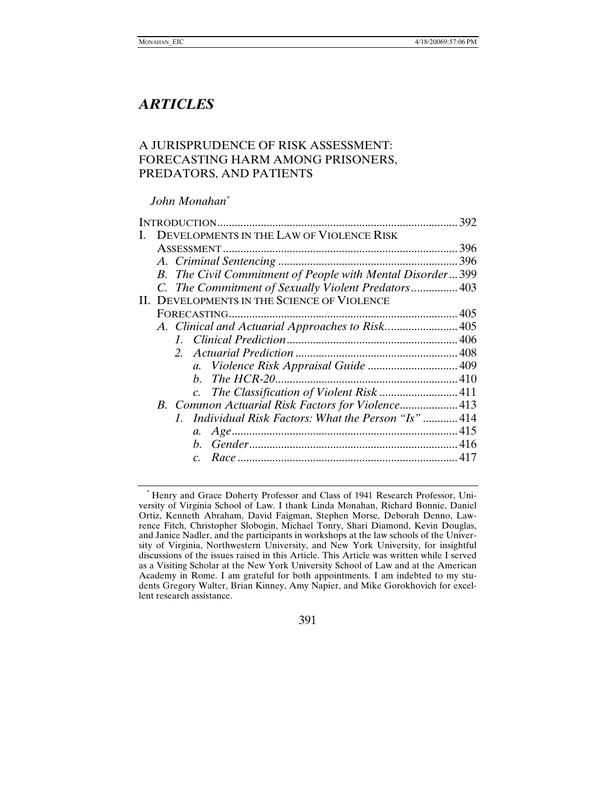# *ARTICLES*

# A JURISPRUDENCE OF RISK ASSESSMENT: FORECASTING HARM AMONG PRISONERS, PREDATORS, AND PATIENTS

# *John Monahan[\\*](#page-0-0)*

|  |                                                           | 392 |
|--|-----------------------------------------------------------|-----|
|  | DEVELOPMENTS IN THE LAW OF VIOLENCE RISK                  |     |
|  |                                                           | 396 |
|  |                                                           |     |
|  | B. The Civil Commitment of People with Mental Disorder399 |     |
|  | C. The Commitment of Sexually Violent Predators 403       |     |
|  | II. DEVELOPMENTS IN THE SCIENCE OF VIOLENCE               |     |
|  |                                                           |     |
|  | A. Clinical and Actuarial Approaches to Risk 405          |     |
|  |                                                           |     |
|  |                                                           |     |
|  | a. Violence Risk Appraisal Guide  409                     |     |
|  |                                                           |     |
|  | c. The Classification of Violent Risk  411                |     |
|  | B. Common Actuarial Risk Factors for Violence 413         |     |
|  | 1. Individual Risk Factors: What the Person "Is"  414     |     |
|  |                                                           |     |
|  |                                                           |     |
|  | $\overline{c}$ .                                          |     |
|  |                                                           |     |

391

<span id="page-0-0"></span><sup>\*</sup> Henry and Grace Doherty Professor and Class of 1941 Research Professor, University of Virginia School of Law. I thank Linda Monahan, Richard Bonnie, Daniel Ortiz, Kenneth Abraham, David Faigman, Stephen Morse, Deborah Denno, Lawrence Fitch, Christopher Slobogin, Michael Tonry, Shari Diamond, Kevin Douglas, and Janice Nadler, and the participants in workshops at the law schools of the University of Virginia, Northwestern University, and New York University, for insightful discussions of the issues raised in this Article. This Article was written while I served as a Visiting Scholar at the New York University School of Law and at the American Academy in Rome. I am grateful for both appointments. I am indebted to my students Gregory Walter, Brian Kinney, Amy Napier, and Mike Gorokhovich for excellent research assistance.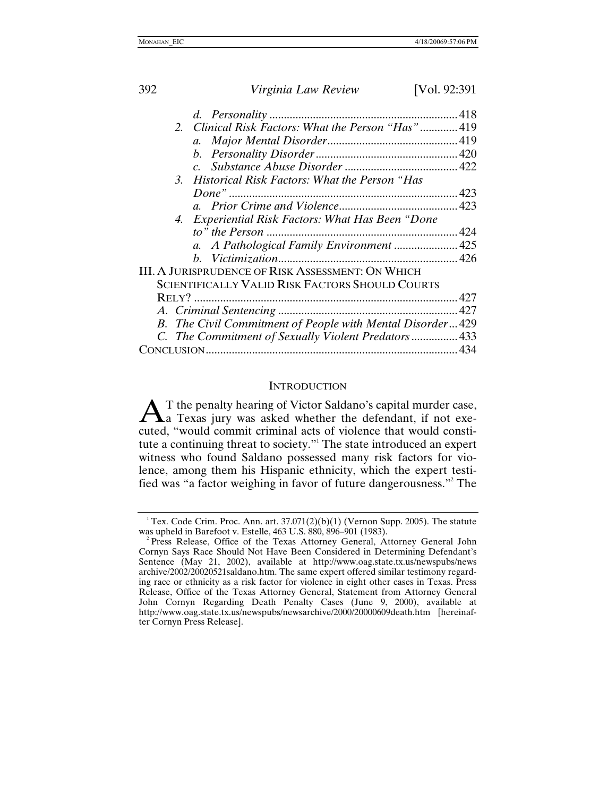| 392 | Virginia Law Review                                       | [Vol. 92:391 |
|-----|-----------------------------------------------------------|--------------|
|     |                                                           |              |
|     | 2. Clinical Risk Factors: What the Person "Has" 419       |              |
|     | $a_{\cdot}$                                               |              |
|     |                                                           |              |
|     |                                                           |              |
|     | 3. Historical Risk Factors: What the Person "Has          |              |
|     |                                                           |              |
|     |                                                           |              |
|     | 4. Experiential Risk Factors: What Has Been "Done         |              |
|     |                                                           |              |
|     | a. A Pathological Family Environment  425                 |              |
|     |                                                           |              |
|     | III. A JURISPRUDENCE OF RISK ASSESSMENT: ON WHICH         |              |
|     | <b>SCIENTIFICALLY VALID RISK FACTORS SHOULD COURTS</b>    |              |
|     |                                                           |              |
|     |                                                           |              |
|     | B. The Civil Commitment of People with Mental Disorder429 |              |
|     | C. The Commitment of Sexually Violent Predators 433       |              |
|     |                                                           |              |

#### **INTRODUCTION**

T the penalty hearing of Victor Saldano's capital murder case,  $A$ <sup>T</sup> the penalty hearing of Victor Saldano's capital murder case,<br>a Texas jury was asked whether the defendant, if not executed, "would commit criminal acts of violence that would constitute a continuing threat to society." The state introduced an expert witness who found Saldano possessed many risk factors for violence, among them his Hispanic ethnicity, which the expert testified was "a factor weighing in favor of future dangerousness.["2](#page-1-2) The

<span id="page-1-0"></span>

<span id="page-1-1"></span><sup>&</sup>lt;sup>1</sup> Tex. Code Crim. Proc. Ann. art. 37.071(2)(b)(1) (Vernon Supp. 2005). The statute was upheld in Barefoot v. Estelle, 463 U.S. 880, 896–901 (1983). 2

<span id="page-1-2"></span><sup>&</sup>lt;sup>2</sup> Press Release, Office of the Texas Attorney General, Attorney General John Cornyn Says Race Should Not Have Been Considered in Determining Defendant's Sentence (May 21, 2002), available at http://www.oag.state.tx.us/newspubs/news archive/2002/20020521saldano.htm. The same expert offered similar testimony regarding race or ethnicity as a risk factor for violence in eight other cases in Texas. Press Release, Office of the Texas Attorney General, Statement from Attorney General John Cornyn Regarding Death Penalty Cases (June 9, 2000), available at http://www.oag.state.tx.us/newspubs/newsarchive/2000/20000609death.htm [hereinafter Cornyn Press Release].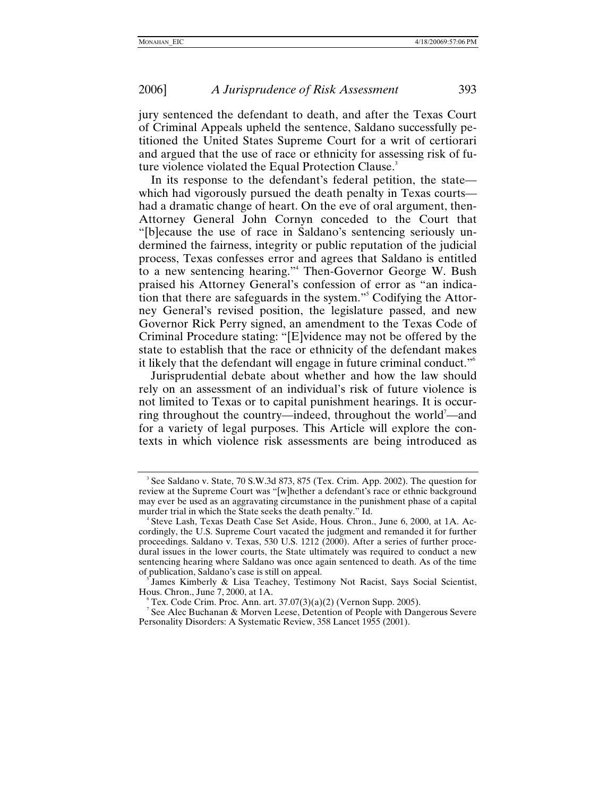jury sentenced the defendant to death, and after the Texas Court of Criminal Appeals upheld the sentence, Saldano successfully petitioned the United States Supreme Court for a writ of certiorari and argued that the use of race or ethnicity for assessing risk of future violence violated the Equal Protection Clause.<sup>3</sup>

In its response to the defendant's federal petition, the state which had vigorously pursued the death penalty in Texas courts had a dramatic change of heart. On the eve of oral argument, then-Attorney General John Cornyn conceded to the Court that "[b]ecause the use of race in Saldano's sentencing seriously undermined the fairness, integrity or public reputation of the judicial process, Texas confesses error and agrees that Saldano is entitled to a new sentencing hearing.["4](#page-2-1) Then-Governor George W. Bush praised his Attorney General's confession of error as "an indication that there are safeguards in the system."<sup>5</sup> Codifying the Attorney General's revised position, the legislature passed, and new Governor Rick Perry signed, an amendment to the Texas Code of Criminal Procedure stating: "[E]vidence may not be offered by the state to establish that the race or ethnicity of the defendant makes it likely that the defendant will engage in future criminal conduct."[6](#page-2-3)

Jurisprudential debate about whether and how the law should rely on an assessment of an individual's risk of future violence is not limited to Texas or to capital punishment hearings. It is occurring throughout the country—indeed, throughout the world<sup>7</sup>—and for a variety of legal purposes. This Article will explore the contexts in which violence risk assessments are being introduced as

<span id="page-2-0"></span><sup>&</sup>lt;sup>3</sup> See Saldano v. State, 70 S.W.3d 873, 875 (Tex. Crim. App. 2002). The question for review at the Supreme Court was "[w]hether a defendant's race or ethnic background may ever be used as an aggravating circumstance in the punishment phase of a capital murder trial in which the State seeks the death penalty." Id.

<span id="page-2-1"></span>Steve Lash, Texas Death Case Set Aside, Hous. Chron., June 6, 2000, at 1A. Accordingly, the U.S. Supreme Court vacated the judgment and remanded it for further proceedings. Saldano v. Texas, 530 U.S. 1212 (2000). After a series of further procedural issues in the lower courts, the State ultimately was required to conduct a new sentencing hearing where Saldano was once again sentenced to death. As of the time of publication, Saldano's case is still on appeal. 5

<span id="page-2-2"></span>James Kimberly & Lisa Teachey, Testimony Not Racist, Says Social Scientist, Hous. Chron., June 7, 2000, at 1A. 6

<span id="page-2-3"></span>Tex. Code Crim. Proc. Ann. art.  $37.07(3)(a)(2)$  (Vernon Supp. 2005).

<span id="page-2-4"></span><sup>&</sup>lt;sup>7</sup> See Alec Buchanan & Morven Leese, Detention of People with Dangerous Severe Personality Disorders: A Systematic Review, 358 Lancet 1955 (2001).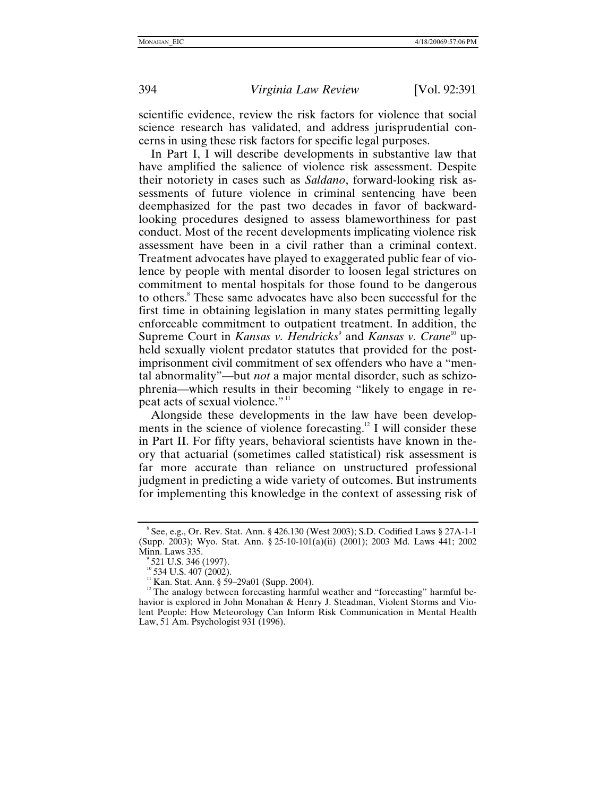scientific evidence, review the risk factors for violence that social science research has validated, and address jurisprudential concerns in using these risk factors for specific legal purposes.

In Part I, I will describe developments in substantive law that have amplified the salience of violence risk assessment. Despite their notoriety in cases such as *Saldano*, forward-looking risk assessments of future violence in criminal sentencing have been deemphasized for the past two decades in favor of backwardlooking procedures designed to assess blameworthiness for past conduct. Most of the recent developments implicating violence risk assessment have been in a civil rather than a criminal context. Treatment advocates have played to exaggerated public fear of violence by people with mental disorder to loosen legal strictures on commitment to mental hospitals for those found to be dangerous to others.<sup>8</sup> These same advocates have also been successful for the first time in obtaining legislation in many states permitting legally enforceable commitment to outpatient treatment. In addition, the SupremeCourt in *Kansas v. Hendricks*<sup>9</sup> and *Kansas v. Crane*<sup>10</sup> upheld sexually violent predator statutes that provided for the postimprisonment civil commitment of sex offenders who have a "mental abnormality"—but *not* a major mental disorder, such as schizophrenia—which results in their becoming "likely to engage in re-peat acts of sexual violence."<sup>[11](#page-3-3)</sup>

Alongside these developments in the law have been developments in the science of violence forecasting.<sup>12</sup> I will consider these in Part II. For fifty years, behavioral scientists have known in theory that actuarial (sometimes called statistical) risk assessment is far more accurate than reliance on unstructured professional judgment in predicting a wide variety of outcomes. But instruments for implementing this knowledge in the context of assessing risk of

<span id="page-3-0"></span><sup>8</sup> See, e.g., Or. Rev. Stat. Ann. § 426.130 (West 2003); S.D. Codified Laws § 27A-1-1 (Supp. 2003); Wyo. Stat. Ann. § 25-10-101(a)(ii) (2001); 2003 Md. Laws 441; 2002 Minn. Laws 335.

<span id="page-3-1"></span> $\degree$  521 U.S. 346 (1997).<br> $\degree$ <sup>0</sup> 534 U.S. 407 (2002).

<span id="page-3-2"></span>

<span id="page-3-4"></span><span id="page-3-3"></span><sup>&</sup>lt;sup>11</sup> Kan. Stat. Ann. § 59–29a01 (Supp. 2004). <sup>12</sup> The analogy between forecasting harmful weather and "forecasting" harmful behavior is explored in John Monahan & Henry J. Steadman, Violent Storms and Violent People: How Meteorology Can Inform Risk Communication in Mental Health Law, 51 Am. Psychologist 931 (1996).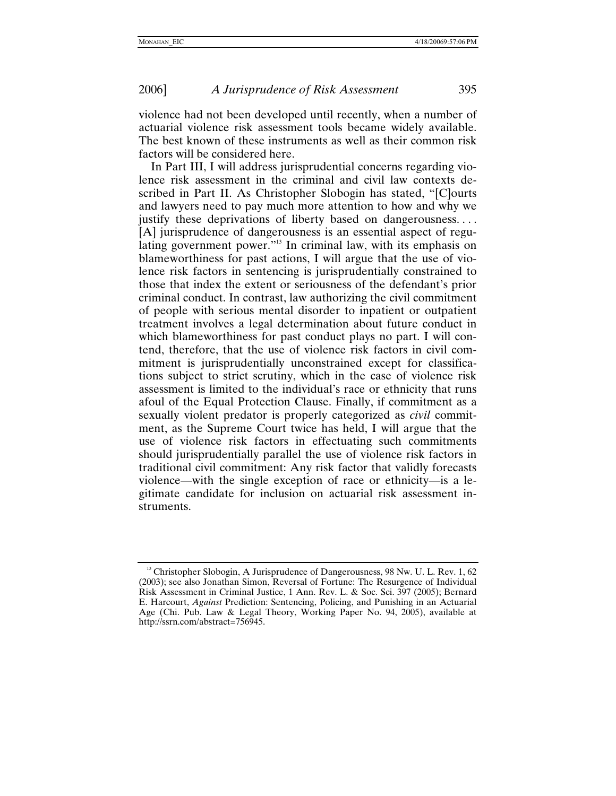violence had not been developed until recently, when a number of actuarial violence risk assessment tools became widely available. The best known of these instruments as well as their common risk factors will be considered here.

In Part III, I will address jurisprudential concerns regarding violence risk assessment in the criminal and civil law contexts described in Part II. As Christopher Slobogin has stated, "[C]ourts and lawyers need to pay much more attention to how and why we justify these deprivations of liberty based on dangerousness.... [A] jurisprudence of dangerousness is an essential aspect of regulating government power."<sup>13</sup> In criminal law, with its emphasis on blameworthiness for past actions, I will argue that the use of violence risk factors in sentencing is jurisprudentially constrained to those that index the extent or seriousness of the defendant's prior criminal conduct. In contrast, law authorizing the civil commitment of people with serious mental disorder to inpatient or outpatient treatment involves a legal determination about future conduct in which blameworthiness for past conduct plays no part. I will contend, therefore, that the use of violence risk factors in civil commitment is jurisprudentially unconstrained except for classifications subject to strict scrutiny, which in the case of violence risk assessment is limited to the individual's race or ethnicity that runs afoul of the Equal Protection Clause. Finally, if commitment as a sexually violent predator is properly categorized as *civil* commitment, as the Supreme Court twice has held, I will argue that the use of violence risk factors in effectuating such commitments should jurisprudentially parallel the use of violence risk factors in traditional civil commitment: Any risk factor that validly forecasts violence—with the single exception of race or ethnicity—is a legitimate candidate for inclusion on actuarial risk assessment instruments.

<span id="page-4-0"></span><sup>&</sup>lt;sup>13</sup> Christopher Slobogin, A Jurisprudence of Dangerousness, 98 Nw. U. L. Rev. 1, 62 (2003); see also Jonathan Simon, Reversal of Fortune: The Resurgence of Individual Risk Assessment in Criminal Justice, 1 Ann. Rev. L. & Soc. Sci. 397 (2005); Bernard E. Harcourt, *Against* Prediction: Sentencing, Policing, and Punishing in an Actuarial Age (Chi. Pub. Law & Legal Theory, Working Paper No. 94, 2005), available at http://ssrn.com/abstract=756945.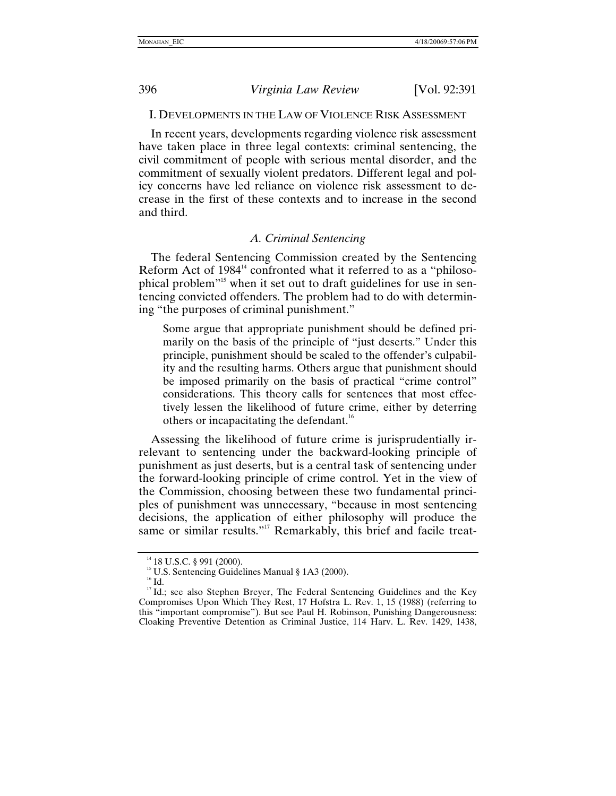<span id="page-5-0"></span>

### I. DEVELOPMENTS IN THE LAW OF VIOLENCE RISK ASSESSMENT

In recent years, developments regarding violence risk assessment have taken place in three legal contexts: criminal sentencing, the civil commitment of people with serious mental disorder, and the commitment of sexually violent predators. Different legal and policy concerns have led reliance on violence risk assessment to decrease in the first of these contexts and to increase in the second and third.

# *A. Criminal Sentencing*

The federal Sentencing Commission created by the Sentencing Reform Act of  $1984<sup>14</sup>$  confronted what it referred to as a "philosophical problem"[15](#page-5-2) when it set out to draft guidelines for use in sentencing convicted offenders. The problem had to do with determining "the purposes of criminal punishment."

Some argue that appropriate punishment should be defined primarily on the basis of the principle of "just deserts." Under this principle, punishment should be scaled to the offender's culpability and the resulting harms. Others argue that punishment should be imposed primarily on the basis of practical "crime control" considerations. This theory calls for sentences that most effectively lessen the likelihood of future crime, either by deterring others or incapacitating the defendant[.](#page-5-3)<sup>16</sup>

Assessing the likelihood of future crime is jurisprudentially irrelevant to sentencing under the backward-looking principle of punishment as just deserts, but is a central task of sentencing under the forward-looking principle of crime control. Yet in the view of the Commission, choosing between these two fundamental principles of punishment was unnecessary, "because in most sentencing decisions, the application of either philosophy will produce the same or similar results."<sup>17</sup> Remarkably, this brief and facile treat-

<span id="page-5-2"></span>

<span id="page-5-4"></span><span id="page-5-3"></span>

<span id="page-5-1"></span><sup>&</sup>lt;sup>14</sup> 18 U.S.C. § 991 (2000).<br><sup>15</sup> U.S. Sentencing Guidelines Manual § 1A3 (2000).<br><sup>16</sup> Id. <sup>17</sup> Id.; see also Stephen Breyer, The Federal Sentencing Guidelines and the Key Compromises Upon Which They Rest, 17 Hofstra L. Rev. 1, 15 (1988) (referring to this "important compromise"). But see Paul H. Robinson, Punishing Dangerousness: Cloaking Preventive Detention as Criminal Justice, 114 Harv. L. Rev. 1429, 1438,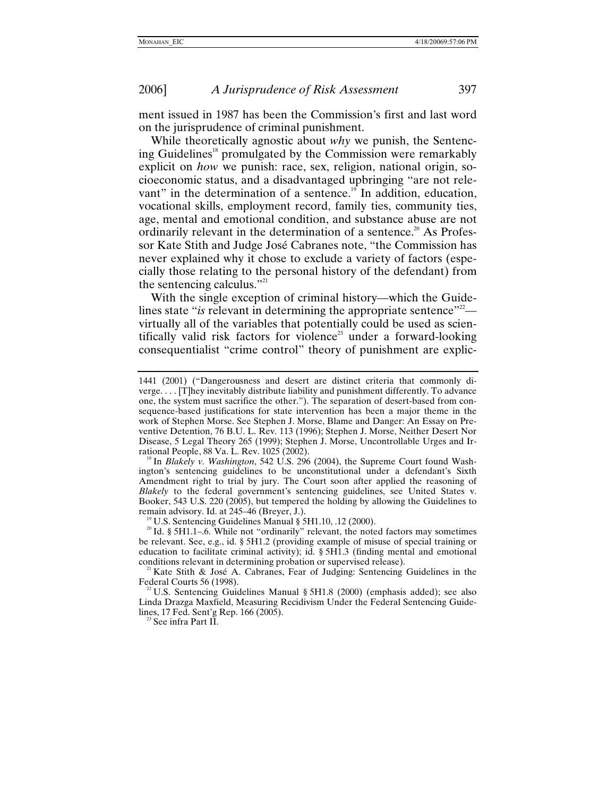ment issued in 1987 has been the Commission's first and last word on the jurisprudence of criminal punishment.

While theoretically agnostic about *why* we punish, the Sentencing Guidelines<sup>18</sup> promulgated by the Commission were remarkably explicit on *how* we punish: race, sex, religion, national origin, socioeconomic status, and a disadvantaged upbringing "are not relevant" in the determination of a sentence.<sup>19</sup> In addition, education, vocational skills, employment record, family ties, community ties, age, mental and emotional condition, and substance abuse are not ordinarily relevant in the determination of a sentence.<sup>20</sup> As Professor Kate Stith and Judge José Cabranes note, "the Commission has never explained why it chose to exclude a variety of factors (especially those relating to the personal history of the defendant) from the sentencing calculus." $21$ 

With the single exception of criminal history—which the Guidelines state "*is* relevant in determining the appropriate sentence"<sup>22</sup> virtually all of the variables that potentially could be used as scientifically valid risk factors for violence<sup>23</sup> under a forward-looking consequentialist "crime control" theory of punishment are explic-

<span id="page-6-1"></span>

<span id="page-6-4"></span> $^{22}$  U.S. Sentencing Guidelines Manual § 5H1.8 (2000) (emphasis added); see also Linda Drazga Maxfield, Measuring Recidivism Under the Federal Sentencing Guidelines, 17 Fed. Sent'g Rep. 166 (2005). 23 See infra Part II.

<span id="page-6-5"></span>

<sup>1441 (2001) (&</sup>quot;Dangerousness and desert are distinct criteria that commonly diverge. . . . [T]hey inevitably distribute liability and punishment differently. To advance one, the system must sacrifice the other."). The separation of desert-based from consequence-based justifications for state intervention has been a major theme in the work of Stephen Morse. See Stephen J. Morse, Blame and Danger: An Essay on Preventive Detention, 76 B.U. L. Rev. 113 (1996); Stephen J. Morse, Neither Desert Nor Disease, 5 Legal Theory 265 (1999); Stephen J. Morse, Uncontrollable Urges and Ir-

<span id="page-6-0"></span><sup>&</sup>lt;sup>18</sup> In *Blakely v. Washington*, 542 U.S. 296 (2004), the Supreme Court found Washington's sentencing guidelines to be unconstitutional under a defendant's Sixth Amendment right to trial by jury. The Court soon after applied the reasoning of *Blakely* to the federal government's sentencing guidelines, see United States v. Booker, 543 U.S. 220 (2005), but tempered the holding by allowing the Guidelines to remain advisory. Id. at 245–46 (Breyer, J.).<br><sup>19</sup> U.S. Sentencing Guidelines Manual § 5H1.10, .12 (2000).<br><sup>20</sup> Id. § 5H1.1–.6. While not "ordinarily" relevant, the noted factors may sometimes

<span id="page-6-2"></span>be relevant. See, e.g., id. § 5H1.2 (providing example of misuse of special training or education to facilitate criminal activity); id. § 5H1.3 (finding mental and emotional

<span id="page-6-3"></span>conditions relevant in determining probation or supervised release).<br><sup>21</sup> Kate Stith & José A. Cabranes, Fear of Judging: Sentencing Guidelines in the Federal Courts 56 (1998).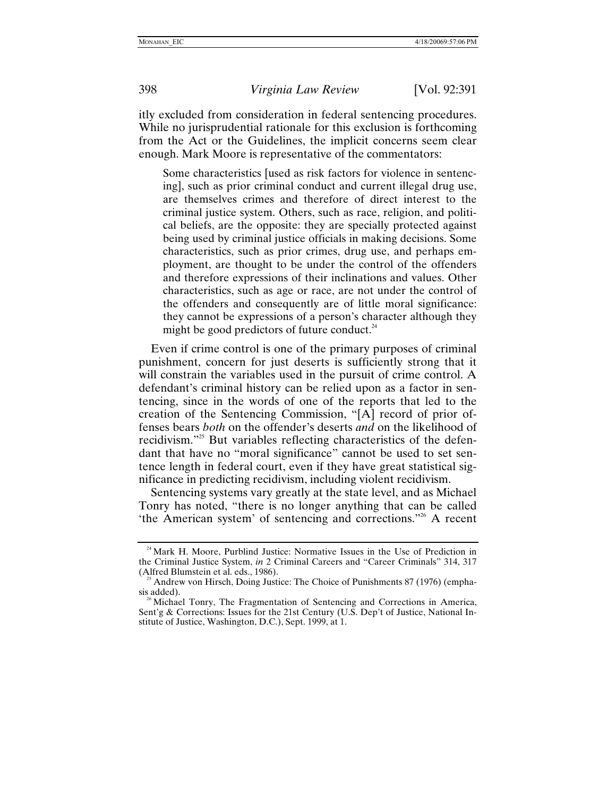itly excluded from consideration in federal sentencing procedures. While no jurisprudential rationale for this exclusion is forthcoming from the Act or the Guidelines, the implicit concerns seem clear enough. Mark Moore is representative of the commentators:

Some characteristics [used as risk factors for violence in sentencing], such as prior criminal conduct and current illegal drug use, are themselves crimes and therefore of direct interest to the criminal justice system. Others, such as race, religion, and political beliefs, are the opposite: they are specially protected against being used by criminal justice officials in making decisions. Some characteristics, such as prior crimes, drug use, and perhaps employment, are thought to be under the control of the offenders and therefore expressions of their inclinations and values. Other characteristics, such as age or race, are not under the control of the offenders and consequently are of little moral significance: they cannot be expressions of a person's character although they might be good predictors of future conduct. $^{24}$ 

Even if crime control is one of the primary purposes of criminal punishment, concern for just deserts is sufficiently strong that it will constrain the variables used in the pursuit of crime control. A defendant's criminal history can be relied upon as a factor in sentencing, since in the words of one of the reports that led to the creation of the Sentencing Commission, "[A] record of prior offenses bears *both* on the offender's deserts *and* on the likelihood of recidivism."[25](#page-7-1) But variables reflecting characteristics of the defendant that have no "moral significance" cannot be used to set sentence length in federal court, even if they have great statistical significance in predicting recidivism, including violent recidivism.

Sentencing systems vary greatly at the state level, and as Michael Tonry has noted, "there is no longer anything that can be called 'the American system' of sentencing and corrections.["26](#page-7-2) A recent

<span id="page-7-0"></span><sup>&</sup>lt;sup>24</sup> Mark H. Moore, Purblind Justice: Normative Issues in the Use of Prediction in the Criminal Justice System, *in* 2 Criminal Careers and "Career Criminals" 314, 317 (Alfred Blumstein et al. eds., 1986).

<span id="page-7-1"></span> $\frac{25}{3}$  Andrew von Hirsch, Doing Justice: The Choice of Punishments 87 (1976) (emphasis added).

<span id="page-7-2"></span><sup>&</sup>lt;sup>26</sup> Michael Tonry, The Fragmentation of Sentencing and Corrections in America, Sent'g & Corrections: Issues for the 21st Century (U.S. Dep't of Justice, National Institute of Justice, Washington, D.C.), Sept. 1999, at 1.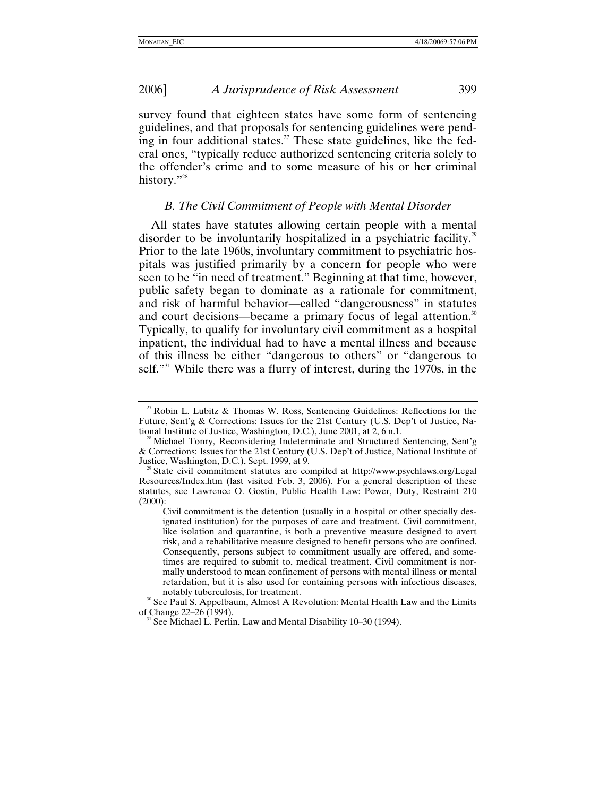<span id="page-8-0"></span>survey found that eighteen states have some form of sentencing guidelines, and that proposals for sentencing guidelines were pending in four additional states.<sup>27</sup> These state guidelines, like the federal ones, "typically reduce authorized sentencing criteria solely to the offender's crime and to some measure of his or her criminal history."<sup>28</sup>

# *B. The Civil Commitment of People with Mental Disorder*

All states have statutes allowing certain people with a mental disorder to be involuntarily hospitalized in a psychiatric facility.<sup>29</sup> Prior to the late 1960s, involuntary commitment to psychiatric hospitals was justified primarily by a concern for people who were seen to be "in need of treatment." Beginning at that time, however, public safety began to dominate as a rationale for commitment, and risk of harmful behavior—called "dangerousness" in statutes and court decisions—became a primary focus of legal attention.<sup>30</sup> Typically, to qualify for involuntary civil commitment as a hospital inpatient, the individual had to have a mental illness and because of this illness be either "dangerous to others" or "dangerous to self.<sup>331</sup> While there was a flurry of interest, during the 1970s, in the

<span id="page-8-1"></span><sup>&</sup>lt;sup>27</sup> Robin L. Lubitz & Thomas W. Ross, Sentencing Guidelines: Reflections for the Future, Sent'g & Corrections: Issues for the 21st Century (U.S. Dep't of Justice, National Institute of Justice, Washington, D.C.), June 2001, at 2, 6 n.1.

<span id="page-8-2"></span>Michael Tonry, Reconsidering Indeterminate and Structured Sentencing, Sent'g & Corrections: Issues for the 21st Century (U.S. Dep't of Justice, National Institute of Justice, Washington, D.C.), Sept. 1999, at 9. 29 State civil commitment statutes are compiled at http://www.psychlaws.org/Legal

<span id="page-8-3"></span>Resources/Index.htm (last visited Feb. 3, 2006). For a general description of these statutes, see Lawrence O. Gostin, Public Health Law: Power, Duty, Restraint 210 (2000):

Civil commitment is the detention (usually in a hospital or other specially designated institution) for the purposes of care and treatment. Civil commitment, like isolation and quarantine, is both a preventive measure designed to avert risk, and a rehabilitative measure designed to benefit persons who are confined. Consequently, persons subject to commitment usually are offered, and sometimes are required to submit to, medical treatment. Civil commitment is normally understood to mean confinement of persons with mental illness or mental retardation, but it is also used for containing persons with infectious diseases,

<span id="page-8-4"></span>notably tuberculosis, for treatment.<br><sup>30</sup> See Paul S. Appelbaum, Almost A Revolution: Mental Health Law and the Limits of Change 22–26 (1994).

<span id="page-8-5"></span>See Michael L. Perlin, Law and Mental Disability 10–30 (1994).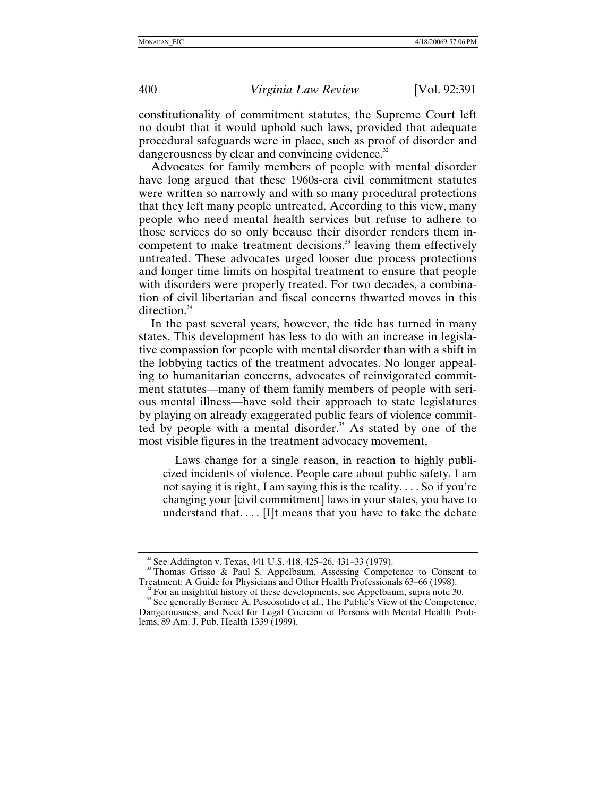constitutionality of commitment statutes, the Supreme Court left no doubt that it would uphold such laws, provided that adequate procedural safeguards were in place, such as proof of disorder and dangerousness by clear and convincing evidence.<sup>[32](#page-9-0)</sup>

Advocates for family members of people with mental disorder have long argued that these 1960s-era civil commitment statutes were written so narrowly and with so many procedural protections that they left many people untreated. According to this view, many people who need mental health services but refuse to adhere to those services do so only because their disorder renders them incompetent to make treatment decisions, $33$  leaving them effectively untreated. These advocates urged looser due process protections and longer time limits on hospital treatment to ensure that people with disorders were properly treated. For two decades, a combination of civil libertarian and fiscal concerns thwarted moves in this direction. $34$ 

In the past several years, however, the tide has turned in many states. This development has less to do with an increase in legislative compassion for people with mental disorder than with a shift in the lobbying tactics of the treatment advocates. No longer appealing to humanitarian concerns, advocates of reinvigorated commitment statutes—many of them family members of people with serious mental illness—have sold their approach to state legislatures by playing on already exaggerated public fears of violence committed by people with a mental disorder.<sup>35</sup> As stated by one of the most visible figures in the treatment advocacy movement,

Laws change for a single reason, in reaction to highly publicized incidents of violence. People care about public safety. I am not saying it is right, I am saying this is the reality. . . . So if you're changing your [civil commitment] laws in your states, you have to understand that.... [I]t means that you have to take the debate

<span id="page-9-1"></span><span id="page-9-0"></span><sup>&</sup>lt;sup>32</sup> See Addington v. Texas, 441 U.S. 418, 425–26, 431–33 (1979).<br><sup>33</sup> Thomas Grisso & Paul S. Appelbaum, Assessing Competence to Consent to Treatment: A Guide for Physicians and Other Health Professionals 63–66 (1998).

<span id="page-9-3"></span><span id="page-9-2"></span> $34$  For an insightful history of these developments, see Appelbaum, supra note 30.<br><sup>35</sup> See generally Bernice A. Pescosolido et al., The Public's View of the Competence, Dangerousness, and Need for Legal Coercion of Persons with Mental Health Problems, 89 Am. J. Pub. Health 1339 (1999).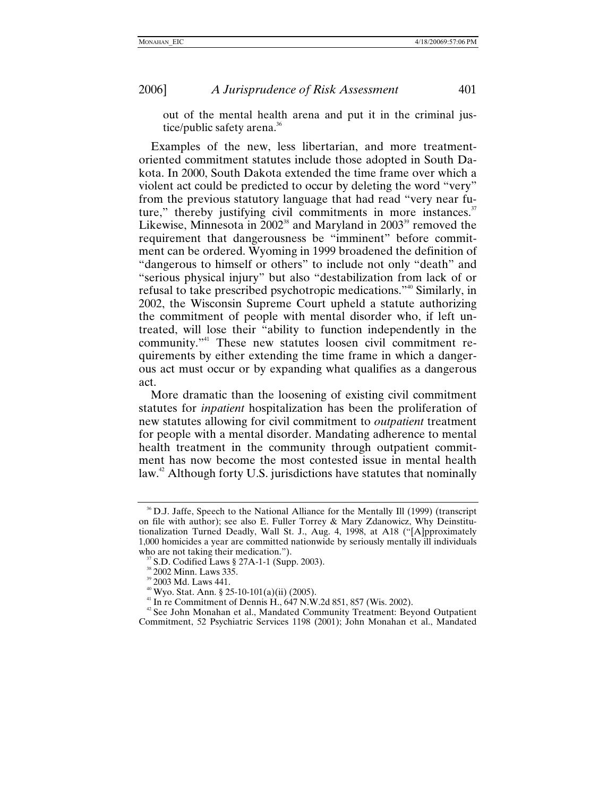out of the mental health arena and put it in the criminal justice/public safety arena.<sup>36</sup>

Examples of the new, less libertarian, and more treatmentoriented commitment statutes include those adopted in South Dakota. In 2000, South Dakota extended the time frame over which a violent act could be predicted to occur by deleting the word "very" from the previous statutory language that had read "very near future," thereby justifying civil commitments in more instances.<sup>37</sup> Likewise, Minnesota in  $2002^{38}$  and Maryland in  $2003^{39}$  removed the requirement that dangerousness be "imminent" before commitment can be ordered. Wyoming in 1999 broadened the definition of "dangerous to himself or others" to include not only "death" and "serious physical injury" but also "destabilization from lack of or refusal to take prescribed psychotropic medications."[40](#page-10-4) Similarly, in 2002, the Wisconsin Supreme Court upheld a statute authorizing the commitment of people with mental disorder who, if left untreated, will lose their "ability to function independently in the community."[41](#page-10-5) These new statutes loosen civil commitment requirements by either extending the time frame in which a dangerous act must occur or by expanding what qualifies as a dangerous act.

More dramatic than the loosening of existing civil commitment statutes for *inpatient* hospitalization has been the proliferation of new statutes allowing for civil commitment to *outpatient* treatment for people with a mental disorder. Mandating adherence to mental health treatment in the community through outpatient commitment has now become the most contested issue in mental health law.<sup>42</sup> Although forty U.S. jurisdictions have statutes that nominally

<span id="page-10-0"></span><sup>&</sup>lt;sup>36</sup> D.J. Jaffe, Speech to the National Alliance for the Mentally III (1999) (transcript on file with author); see also E. Fuller Torrey & Mary Zdanowicz, Why Deinstitutionalization Turned Deadly, Wall St. J., Aug. 4, 1998, at A18 ("[A]pproximately 1,000 homicides a year are committed nationwide by seriously mentally ill individuals who are not taking their medication.").

<span id="page-10-2"></span>

<span id="page-10-3"></span>

<span id="page-10-4"></span>

<span id="page-10-6"></span><span id="page-10-5"></span>

<span id="page-10-1"></span><sup>&</sup>lt;sup>37</sup> S.D. Codified Laws § 27A-1-1 (Supp. 2003).<br><sup>38</sup> 2002 Minn. Laws 335.<br><sup>39</sup> 2003 Md. Laws 441.<br><sup>40</sup> Wyo. Stat. Ann. § 25-10-101(a)(ii) (2005).<br><sup>41</sup> In re Commitment of Dennis H., 647 N.W.2d 851, 857 (Wis. 2002).<br><sup>42</sup> S Commitment, 52 Psychiatric Services 1198 (2001); John Monahan et al., Mandated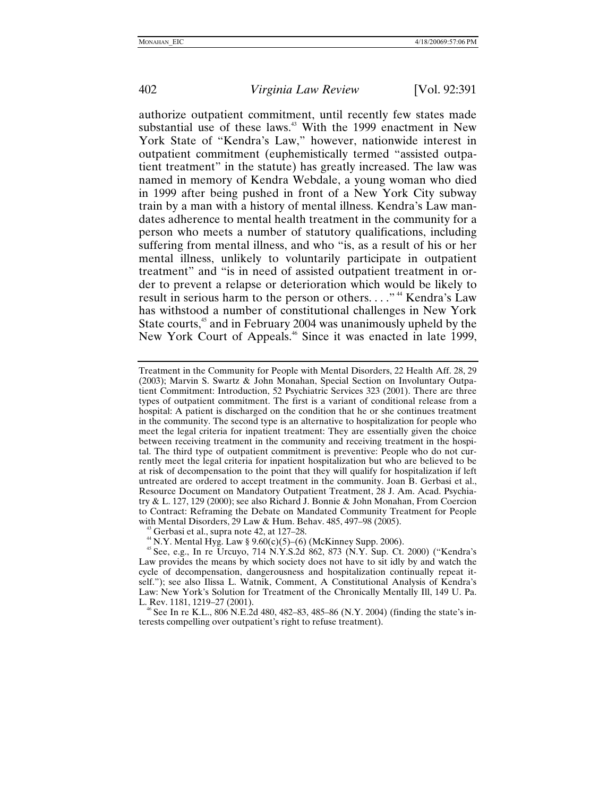authorize outpatient commitment, until recently few states made substantial use of these laws.<sup>43</sup> With the 1999 enactment in New York State of "Kendra's Law," however, nationwide interest in outpatient commitment (euphemistically termed "assisted outpatient treatment" in the statute) has greatly increased. The law was named in memory of Kendra Webdale, a young woman who died in 1999 after being pushed in front of a New York City subway train by a man with a history of mental illness. Kendra's Law mandates adherence to mental health treatment in the community for a person who meets a number of statutory qualifications, including suffering from mental illness, and who "is, as a result of his or her mental illness, unlikely to voluntarily participate in outpatient treatment" and "is in need of assisted outpatient treatment in order to prevent a relapse or deterioration which would be likely to result in serious harm to the person or others...."<sup>44</sup> Kendra's Law has withstood a number of constitutional challenges in New York State courts,<sup>45</sup> and in February 2004 was unanimously upheld by the New York Court of Appeals.<sup>46</sup> Since it was enacted in late 1999,

<span id="page-11-0"></span>

<span id="page-11-1"></span>

<span id="page-11-3"></span> $\textdegree$  See In re K.L., 806 N.E.2d 480, 482–83, 485–86 (N.Y. 2004) (finding the state's interests compelling over outpatient's right to refuse treatment).

Treatment in the Community for People with Mental Disorders, 22 Health Aff. 28, 29 (2003); Marvin S. Swartz & John Monahan, Special Section on Involuntary Outpatient Commitment: Introduction, 52 Psychiatric Services 323 (2001). There are three types of outpatient commitment. The first is a variant of conditional release from a hospital: A patient is discharged on the condition that he or she continues treatment in the community. The second type is an alternative to hospitalization for people who meet the legal criteria for inpatient treatment: They are essentially given the choice between receiving treatment in the community and receiving treatment in the hospital. The third type of outpatient commitment is preventive: People who do not currently meet the legal criteria for inpatient hospitalization but who are believed to be at risk of decompensation to the point that they will qualify for hospitalization if left untreated are ordered to accept treatment in the community. Joan B. Gerbasi et al., Resource Document on Mandatory Outpatient Treatment, 28 J. Am. Acad. Psychiatry & L. 127, 129 (2000); see also Richard J. Bonnie & John Monahan, From Coercion to Contract: Reframing the Debate on Mandated Community Treatment for People with Mental Disorders, 29 Law & Hum. Behav. 485, 497–98 (2005).<br><sup>43</sup> Gerbasi et al., supra note 42, at 127–28.<br><sup>44</sup> N.Y. Mental Hyg. Law § 9.60(c)(5)–(6) (McKinney Supp. 2006).<br><sup>45</sup> See, e.g., In re Urcuyo, 714 N.Y.S.2d 86

<span id="page-11-2"></span>Law provides the means by which society does not have to sit idly by and watch the cycle of decompensation, dangerousness and hospitalization continually repeat itself."); see also Ilissa L. Watnik, Comment, A Constitutional Analysis of Kendra's Law: New York's Solution for Treatment of the Chronically Mentally Ill, 149 U. Pa. L. Rev. 1181, 1219–27 (2001).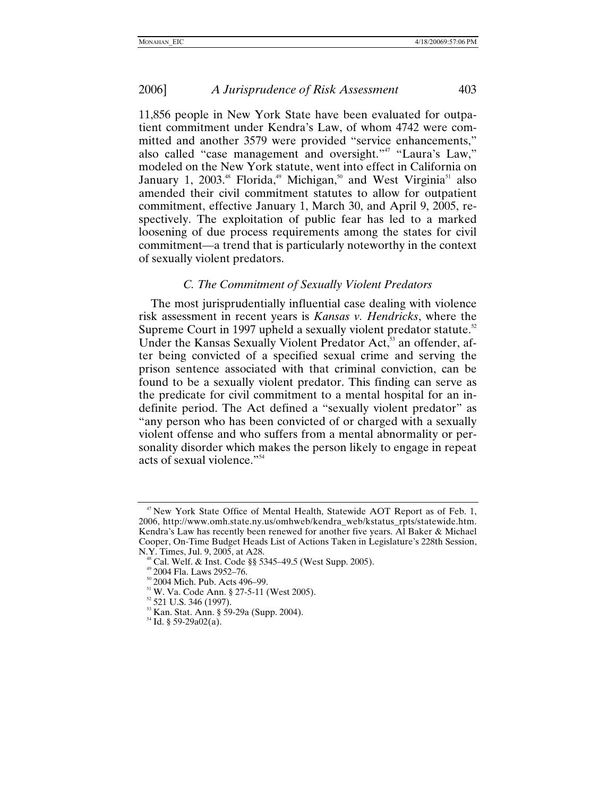<span id="page-12-0"></span>11,856 people in New York State have been evaluated for outpatient commitment under Kendra's Law, of whom 4742 were committed and another 3579 were provided "service enhancements," also called "case management and oversight.["47](#page-12-1) "Laura's Law," modeled on the New York statute, went into effect in California on January 1, 2003.<sup>48</sup> Florida,<sup>49</sup> Michigan,<sup>50</sup> and West Virginia<sup>51</sup> also amended their civil commitment statutes to allow for outpatient commitment, effective January 1, March 30, and April 9, 2005, respectively. The exploitation of public fear has led to a marked loosening of due process requirements among the states for civil commitment—a trend that is particularly noteworthy in the context of sexually violent predators.

# *C. The Commitment of Sexually Violent Predators*

The most jurisprudentially influential case dealing with violence risk assessment in recent years is *Kansas v. Hendricks*, where the Supreme Court in 1997 upheld a sexually violent predator statute.<sup>52</sup> Under the Kansas Sexually Violent Predator Act,<sup>53</sup> an offender, after being convicted of a specified sexual crime and serving the prison sentence associated with that criminal conviction, can be found to be a sexually violent predator. This finding can serve as the predicate for civil commitment to a mental hospital for an indefinite period. The Act defined a "sexually violent predator" as "any person who has been convicted of or charged with a sexually violent offense and who suffers from a mental abnormality or personality disorder which makes the person likely to engage in repeat acts of sexual violence.["54](#page-12-8)

<span id="page-12-1"></span> $47$  New York State Office of Mental Health, Statewide AOT Report as of Feb. 1, 2006, http://www.omh.state.ny.us/omhweb/kendra\_web/kstatus\_rpts/statewide.htm. Kendra's Law has recently been renewed for another five years. Al Baker & Michael Cooper, On-Time Budget Heads List of Actions Taken in Legislature's 228th Session,

<span id="page-12-2"></span><sup>&</sup>lt;sup>48</sup> Cal. Welf. & Inst. Code §§ 5345–49.5 (West Supp. 2005).<br><sup>49</sup> 2004 Fla. Laws 2952–76.<br><sup>50</sup> 2004 Mich. Pub. Acts 496–99.<br><sup>51</sup> W. Va. Code Ann. § 27-5-11 (West 2005).<br><sup>52</sup> 521 U.S. 346 (1997).<br><sup>53</sup> Kan. Stat. Ann. § 59-

<span id="page-12-3"></span>

<span id="page-12-4"></span>

<span id="page-12-5"></span>

<span id="page-12-6"></span>

<span id="page-12-8"></span><span id="page-12-7"></span>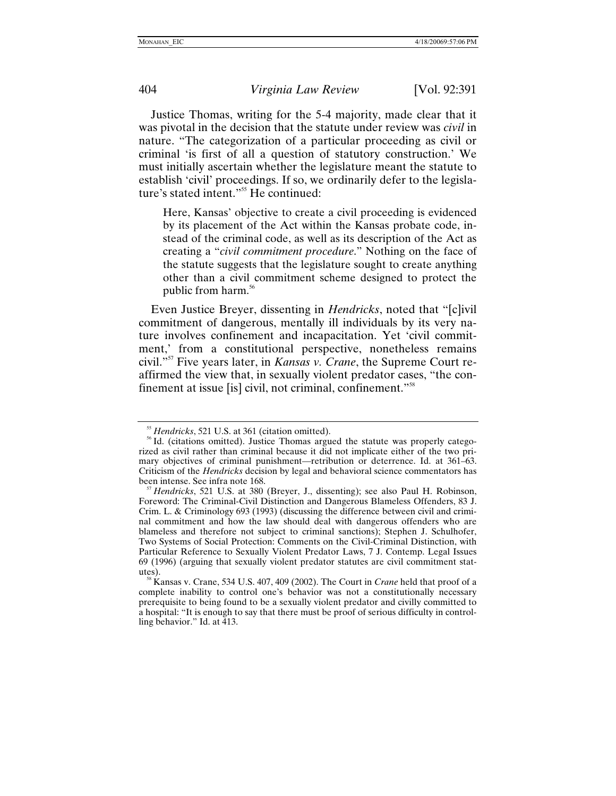Justice Thomas, writing for the 5-4 majority, made clear that it was pivotal in the decision that the statute under review was *civil* in nature. "The categorization of a particular proceeding as civil or criminal 'is first of all a question of statutory construction.' We must initially ascertain whether the legislature meant the statute to establish 'civil' proceedings. If so, we ordinarily defer to the legislature's stated intent.["55](#page-13-0) He continued:

Here, Kansas' objective to create a civil proceeding is evidenced by its placement of the Act within the Kansas probate code, instead of the criminal code, as well as its description of the Act as creating a "*civil commitment procedure*." Nothing on the face of the statute suggests that the legislature sought to create anything other than a civil commitment scheme designed to protect the public from harm.<sup>56</sup>

Even Justice Breyer, dissenting in *Hendricks*, noted that "[c]ivil commitment of dangerous, mentally ill individuals by its very nature involves confinement and incapacitation. Yet 'civil commitment,' from a constitutional perspective, nonetheless remains civil.["57](#page-13-2) Five years later, in *Kansas v. Crane*, the Supreme Court reaffirmed the view that, in sexually violent predator cases, "the confinement at issue [is] civil, not criminal, confinement.["58](#page-13-3) 

<span id="page-13-1"></span><span id="page-13-0"></span><sup>&</sup>lt;sup>55</sup> *Hendricks*, 521 U.S. at 361 (citation omitted).<br><sup>56</sup> Id. (citations omitted). Justice Thomas argued the statute was properly categorized as civil rather than criminal because it did not implicate either of the two primary objectives of criminal punishment—retribution or deterrence. Id. at 361–63. Criticism of the *Hendricks* decision by legal and behavioral science commentators has been intense. See infra note 168.<br><sup>57</sup> *Hendricks*, 521 U.S. at 380 (Breyer, J., dissenting); see also Paul H. Robinson,

<span id="page-13-2"></span>Foreword: The Criminal-Civil Distinction and Dangerous Blameless Offenders, 83 J. Crim. L. & Criminology 693 (1993) (discussing the difference between civil and criminal commitment and how the law should deal with dangerous offenders who are blameless and therefore not subject to criminal sanctions); Stephen J. Schulhofer, Two Systems of Social Protection: Comments on the Civil-Criminal Distinction, with Particular Reference to Sexually Violent Predator Laws, 7 J. Contemp. Legal Issues 69 (1996) (arguing that sexually violent predator statutes are civil commitment stat-

<span id="page-13-3"></span>utes). 58 Kansas v. Crane, 534 U.S. 407, 409 (2002). The Court in *Crane* held that proof of a complete inability to control one's behavior was not a constitutionally necessary prerequisite to being found to be a sexually violent predator and civilly committed to a hospital: "It is enough to say that there must be proof of serious difficulty in controlling behavior." Id. at 413.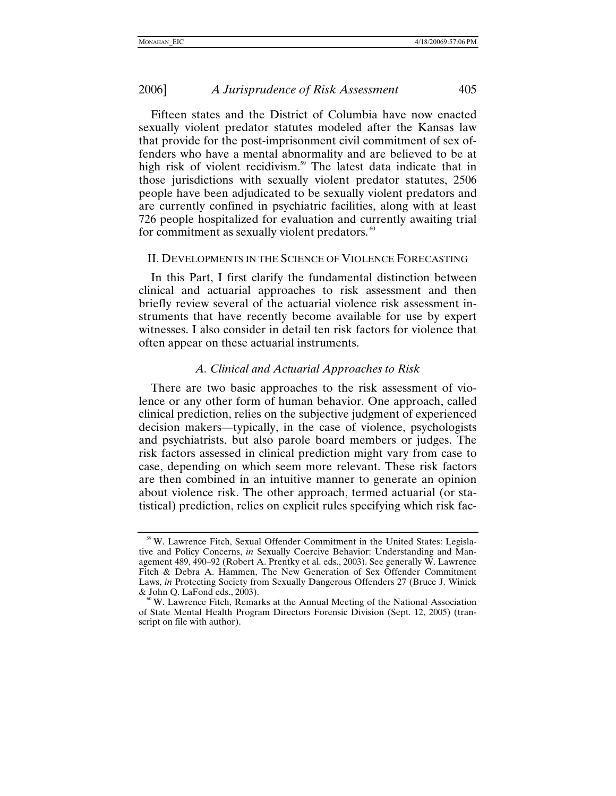<span id="page-14-0"></span>Fifteen states and the District of Columbia have now enacted sexually violent predator statutes modeled after the Kansas law that provide for the post-imprisonment civil commitment of sex offenders who have a mental abnormality and are believed to be at high risk of violent recidivism.<sup>59</sup> The latest data indicate that in those jurisdictions with sexually violent predator statutes, 2506 people have been adjudicated to be sexually violent predators and are currently confined in psychiatric facilities, along with at least 726 people hospitalized for evaluation and currently awaiting trial for commitment as sexually violent predators. $\degree$ 

#### II. DEVELOPMENTS IN THE SCIENCE OF VIOLENCE FORECASTING

In this Part, I first clarify the fundamental distinction between clinical and actuarial approaches to risk assessment and then briefly review several of the actuarial violence risk assessment instruments that have recently become available for use by expert witnesses. I also consider in detail ten risk factors for violence that often appear on these actuarial instruments.

### *A. Clinical and Actuarial Approaches to Risk*

There are two basic approaches to the risk assessment of violence or any other form of human behavior. One approach, called clinical prediction, relies on the subjective judgment of experienced decision makers—typically, in the case of violence, psychologists and psychiatrists, but also parole board members or judges. The risk factors assessed in clinical prediction might vary from case to case, depending on which seem more relevant. These risk factors are then combined in an intuitive manner to generate an opinion about violence risk. The other approach, termed actuarial (or statistical) prediction, relies on explicit rules specifying which risk fac-

<span id="page-14-1"></span><sup>59</sup> W. Lawrence Fitch, Sexual Offender Commitment in the United States: Legislative and Policy Concerns, *in* Sexually Coercive Behavior: Understanding and Management 489, 490–92 (Robert A. Prentky et al. eds., 2003). See generally W. Lawrence Fitch & Debra A. Hammen, The New Generation of Sex Offender Commitment Laws, *in* Protecting Society from Sexually Dangerous Offenders 27 (Bruce J. Winick & John Q. LaFond eds., 2003). <sup>60</sup> W. Lawrence Fitch, Remarks at the Annual Meeting of the National Association

<span id="page-14-2"></span>of State Mental Health Program Directors Forensic Division (Sept. 12, 2005) (transcript on file with author).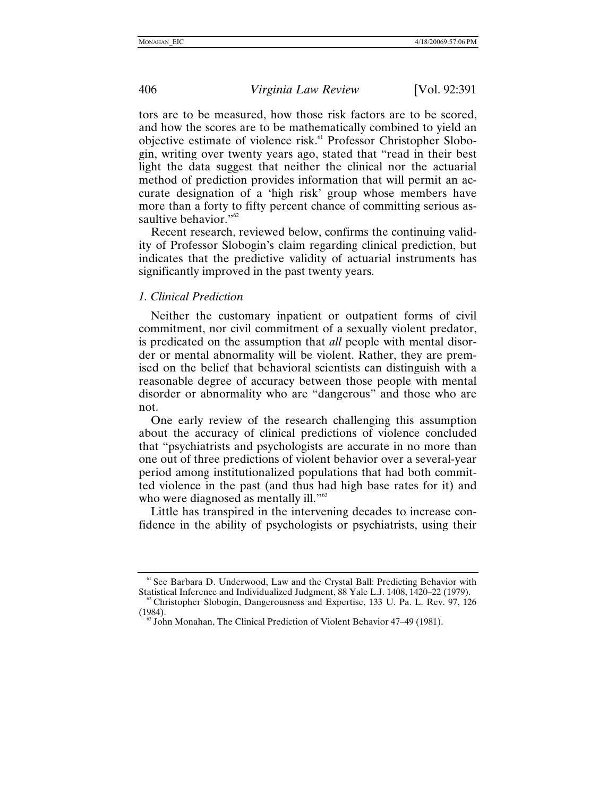<span id="page-15-0"></span>tors are to be measured, how those risk factors are to be scored, and how the scores are to be mathematically combined to yield an objective estimate of violence risk.<sup>61</sup> Professor Christopher Slobogin, writing over twenty years ago, stated that "read in their best light the data suggest that neither the clinical nor the actuarial method of prediction provides information that will permit an accurate designation of a 'high risk' group whose members have more than a forty to fifty percent chance of committing serious assaultive behavior."<sup>62</sup>

Recent research, reviewed below, confirms the continuing validity of Professor Slobogin's claim regarding clinical prediction, but indicates that the predictive validity of actuarial instruments has significantly improved in the past twenty years.

#### *1. Clinical Prediction*

Neither the customary inpatient or outpatient forms of civil commitment, nor civil commitment of a sexually violent predator, is predicated on the assumption that *all* people with mental disorder or mental abnormality will be violent. Rather, they are premised on the belief that behavioral scientists can distinguish with a reasonable degree of accuracy between those people with mental disorder or abnormality who are "dangerous" and those who are not.

One early review of the research challenging this assumption about the accuracy of clinical predictions of violence concluded that "psychiatrists and psychologists are accurate in no more than one out of three predictions of violent behavior over a several-year period among institutionalized populations that had both committed violence in the past (and thus had high base rates for it) and who were diagnosed as mentally ill."<sup>63</sup>

Little has transpired in the intervening decades to increase confidence in the ability of psychologists or psychiatrists, using their

<span id="page-15-1"></span><sup>&</sup>lt;sup>61</sup> See Barbara D. Underwood, Law and the Crystal Ball: Predicting Behavior with Statistical Inference and Individualized Judgment, 88 Yale L.J. 1408, 1420–22 (1979).

<span id="page-15-2"></span> $\degree$ <sup>2</sup> Christopher Slobogin, Dangerousness and Expertise, 133 U. Pa. L. Rev. 97, 126 (1984).<br><sup>63</sup> John Monahan, The Clinical Prediction of Violent Behavior 47–49 (1981).

<span id="page-15-3"></span>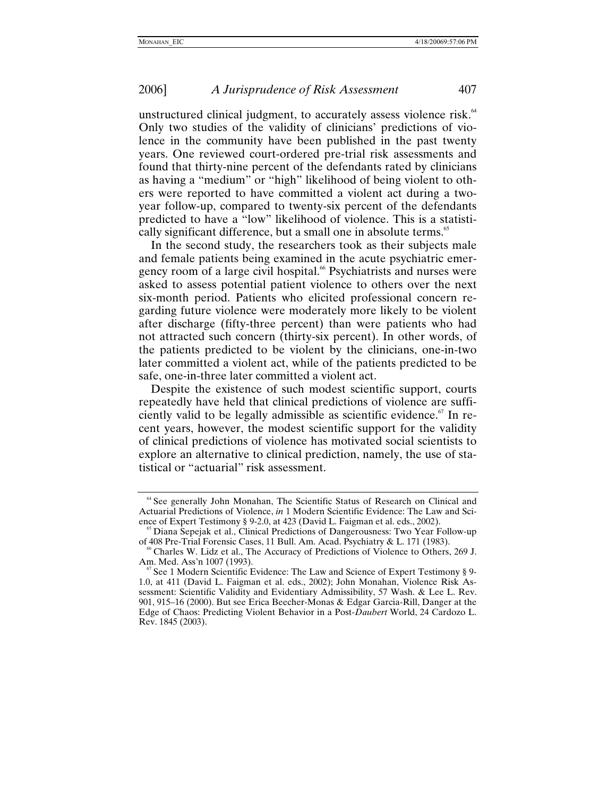unstructured clinical judgment, to accurately assess violence risk.<sup>64</sup> Only two studies of the validity of clinicians' predictions of violence in the community have been published in the past twenty years. One reviewed court-ordered pre-trial risk assessments and found that thirty-nine percent of the defendants rated by clinicians as having a "medium" or "high" likelihood of being violent to others were reported to have committed a violent act during a twoyear follow-up, compared to twenty-six percent of the defendants predicted to have a "low" likelihood of violence. This is a statistically significant difference, but a small one in absolute terms.<sup>65</sup>

In the second study, the researchers took as their subjects male and female patients being examined in the acute psychiatric emergency room of a large civil hospital.<sup>66</sup> Psychiatrists and nurses were asked to assess potential patient violence to others over the next six-month period. Patients who elicited professional concern regarding future violence were moderately more likely to be violent after discharge (fifty-three percent) than were patients who had not attracted such concern (thirty-six percent). In other words, of the patients predicted to be violent by the clinicians, one-in-two later committed a violent act, while of the patients predicted to be safe, one-in-three later committed a violent act.

Despite the existence of such modest scientific support, courts repeatedly have held that clinical predictions of violence are sufficiently valid to be legally admissible as scientific evidence.<sup> $67$ </sup> In recent years, however, the modest scientific support for the validity of clinical predictions of violence has motivated social scientists to explore an alternative to clinical prediction, namely, the use of statistical or "actuarial" risk assessment.

<span id="page-16-0"></span><sup>&</sup>lt;sup>64</sup> See generally John Monahan, The Scientific Status of Research on Clinical and Actuarial Predictions of Violence, *in* 1 Modern Scientific Evidence: The Law and Sci-

<span id="page-16-1"></span>ence of Expert Testimony § 9-2.0, at 423 (David L. Faigman et al. eds., 2002).<br><sup>65</sup> Diana Sepejak et al., Clinical Predictions of Dangerousness: Two Year Follow-up of 408 Pre-Trial Forensic Cases, 11 Bull. Am. Acad. Psychi

<span id="page-16-2"></span> $^6$  Charles W. Lidz et al., The Accuracy of Predictions of Violence to Others, 269 J. Am. Med. Ass'n 1007 (1993).<br><sup>67</sup> See 1 Modern Scientific Evidence: The Law and Science of Expert Testimony § 9-

<span id="page-16-3"></span><sup>1.0,</sup> at 411 (David L. Faigman et al. eds., 2002); John Monahan, Violence Risk Assessment: Scientific Validity and Evidentiary Admissibility, 57 Wash. & Lee L. Rev. 901, 915–16 (2000). But see Erica Beecher-Monas & Edgar Garcia-Rill, Danger at the Edge of Chaos: Predicting Violent Behavior in a Post-*Daubert* World, 24 Cardozo L. Rev. 1845 (2003).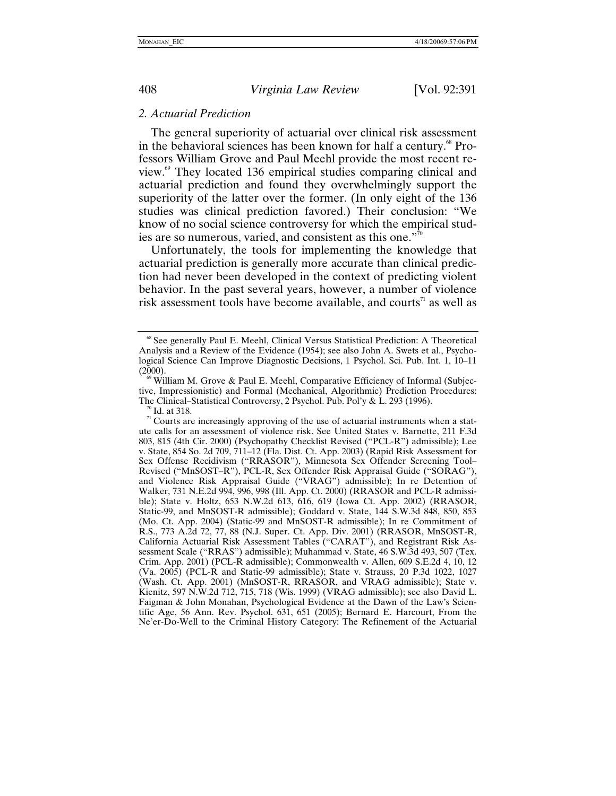#### <span id="page-17-0"></span>*2. Actuarial Prediction*

The general superiority of actuarial over clinical risk assessment in the behavioral sciences has been known for half a century.<sup>68</sup> Professors William Grove and Paul Meehl provide the most recent review.[69](#page-17-2) They located 136 empirical studies comparing clinical and actuarial prediction and found they overwhelmingly support the superiority of the latter over the former. (In only eight of the 136 studies was clinical prediction favored.) Their conclusion: "We know of no social science controversy for which the empirical studies are so numerous, varied, and consistent as this one."[70](#page-17-3)

Unfortunately, the tools for implementing the knowledge that actuarial prediction is generally more accurate than clinical prediction had never been developed in the context of predicting violent behavior. In the past several years, however, a number of violence risk assessment tools have become available, and courts<sup> $\pi$ </sup> as well as

<span id="page-17-4"></span><span id="page-17-3"></span><sup>70</sup> Id. at 318. **Polymontal** Controversiversy, 2<sup>71</sup> Courts are increasingly approving of the use of actuarial instruments when a statute calls for an assessment of violence risk. See United States v. Barnette, 211 F.3d 803, 815 (4th Cir. 2000) (Psychopathy Checklist Revised ("PCL-R") admissible); Lee v. State, 854 So. 2d 709, 711–12 (Fla. Dist. Ct. App. 2003) (Rapid Risk Assessment for Sex Offense Recidivism ("RRASOR"), Minnesota Sex Offender Screening Tool– Revised ("MnSOST–R"), PCL-R, Sex Offender Risk Appraisal Guide ("SORAG"), and Violence Risk Appraisal Guide ("VRAG") admissible); In re Detention of Walker, 731 N.E.2d 994, 996, 998 (Ill. App. Ct. 2000) (RRASOR and PCL-R admissible); State v. Holtz, 653 N.W.2d 613, 616, 619 (Iowa Ct. App. 2002) (RRASOR, Static-99, and MnSOST-R admissible); Goddard v. State, 144 S.W.3d 848, 850, 853 (Mo. Ct. App. 2004) (Static-99 and MnSOST-R admissible); In re Commitment of R.S., 773 A.2d 72, 77, 88 (N.J. Super. Ct. App. Div. 2001) (RRASOR, MnSOST-R, California Actuarial Risk Assessment Tables ("CARAT"), and Registrant Risk Assessment Scale ("RRAS") admissible); Muhammad v. State, 46 S.W.3d 493, 507 (Tex. Crim. App. 2001) (PCL-R admissible); Commonwealth v. Allen, 609 S.E.2d 4, 10, 12 (Va. 2005) (PCL-R and Static-99 admissible); State v. Strauss, 20 P.3d 1022, 1027 (Wash. Ct. App. 2001) (MnSOST-R, RRASOR, and VRAG admissible); State v. Kienitz, 597 N.W.2d 712, 715, 718 (Wis. 1999) (VRAG admissible); see also David L. Faigman & John Monahan, Psychological Evidence at the Dawn of the Law's Scientific Age, 56 Ann. Rev. Psychol. 631, 651 (2005); Bernard E. Harcourt, From the Ne'er-Do-Well to the Criminal History Category: The Refinement of the Actuarial

<span id="page-17-1"></span><sup>68</sup> See generally Paul E. Meehl, Clinical Versus Statistical Prediction: A Theoretical Analysis and a Review of the Evidence (1954); see also John A. Swets et al., Psychological Science Can Improve Diagnostic Decisions, 1 Psychol. Sci. Pub. Int. 1, 10–11 (2000).<br><sup>69</sup> William M. Grove & Paul E. Meehl, Comparative Efficiency of Informal (Subjec-

<span id="page-17-2"></span>tive, Impressionistic) and Formal (Mechanical, Algorithmic) Prediction Procedures:<br>The Clinical–Statistical Controversy, 2 Psychol. Pub. Pol'y & L. 293 (1996).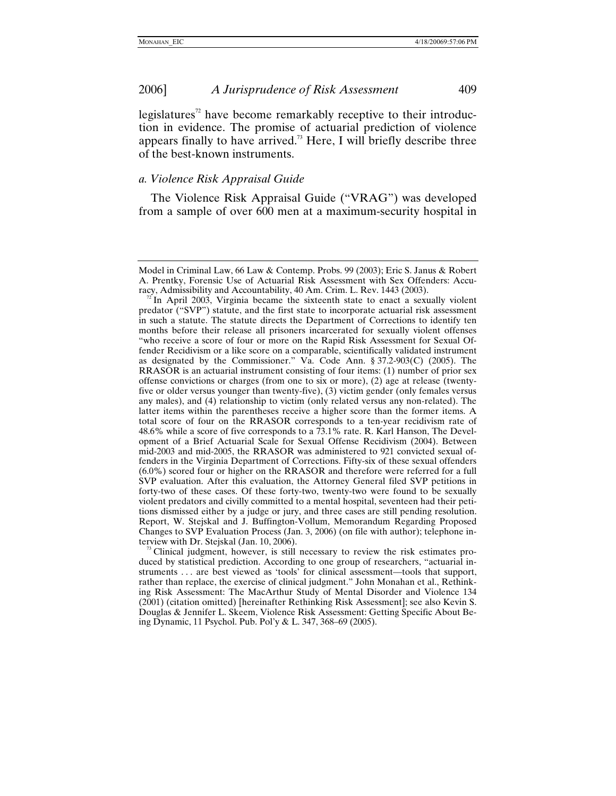<span id="page-18-0"></span>legislatures<sup> $2$ </sup> have become remarkably receptive to their introduction in evidence. The promise of actuarial prediction of violence appears finally to have arrived.<sup>73</sup> Here, I will briefly describe three of the best-known instruments.

# *a. Violence Risk Appraisal Guide*

The Violence Risk Appraisal Guide ("VRAG") was developed from a sample of over 600 men at a maximum-security hospital in

Model in Criminal Law, 66 Law & Contemp. Probs. 99 (2003); Eric S. Janus & Robert A. Prentky, Forensic Use of Actuarial Risk Assessment with Sex Offenders: Accuracy, Admissibility and Accountability, 40 Am. Crim. L. Rev. 1443 (2003). <sup>72</sup> In April 2003, Virginia became the sixteenth state to enact a sexually violent

<span id="page-18-1"></span>predator ("SVP") statute, and the first state to incorporate actuarial risk assessment in such a statute. The statute directs the Department of Corrections to identify ten months before their release all prisoners incarcerated for sexually violent offenses "who receive a score of four or more on the Rapid Risk Assessment for Sexual Offender Recidivism or a like score on a comparable, scientifically validated instrument as designated by the Commissioner." Va. Code Ann. § 37.2-903(C) (2005). The RRASOR is an actuarial instrument consisting of four items: (1) number of prior sex offense convictions or charges (from one to six or more), (2) age at release (twentyfive or older versus younger than twenty-five), (3) victim gender (only females versus any males), and (4) relationship to victim (only related versus any non-related). The latter items within the parentheses receive a higher score than the former items. A total score of four on the RRASOR corresponds to a ten-year recidivism rate of 48.6% while a score of five corresponds to a 73.1% rate. R. Karl Hanson, The Development of a Brief Actuarial Scale for Sexual Offense Recidivism (2004). Between mid-2003 and mid-2005, the RRASOR was administered to 921 convicted sexual offenders in the Virginia Department of Corrections. Fifty-six of these sexual offenders (6.0%) scored four or higher on the RRASOR and therefore were referred for a full SVP evaluation. After this evaluation, the Attorney General filed SVP petitions in forty-two of these cases. Of these forty-two, twenty-two were found to be sexually violent predators and civilly committed to a mental hospital, seventeen had their petitions dismissed either by a judge or jury, and three cases are still pending resolution. Report, W. Stejskal and J. Buffington-Vollum, Memorandum Regarding Proposed Changes to SVP Evaluation Process (Jan. 3, 2006) (on file with author); telephone interview with Dr. Stejskal (Jan. 10, 2006).

<span id="page-18-2"></span>Clinical judgment, however, is still necessary to review the risk estimates produced by statistical prediction. According to one group of researchers, "actuarial instruments . . . are best viewed as 'tools' for clinical assessment—tools that support, rather than replace, the exercise of clinical judgment." John Monahan et al., Rethinking Risk Assessment: The MacArthur Study of Mental Disorder and Violence 134 (2001) (citation omitted) [hereinafter Rethinking Risk Assessment]; see also Kevin S. Douglas & Jennifer L. Skeem, Violence Risk Assessment: Getting Specific About Being Dynamic, 11 Psychol. Pub. Pol'y & L. 347, 368–69 (2005).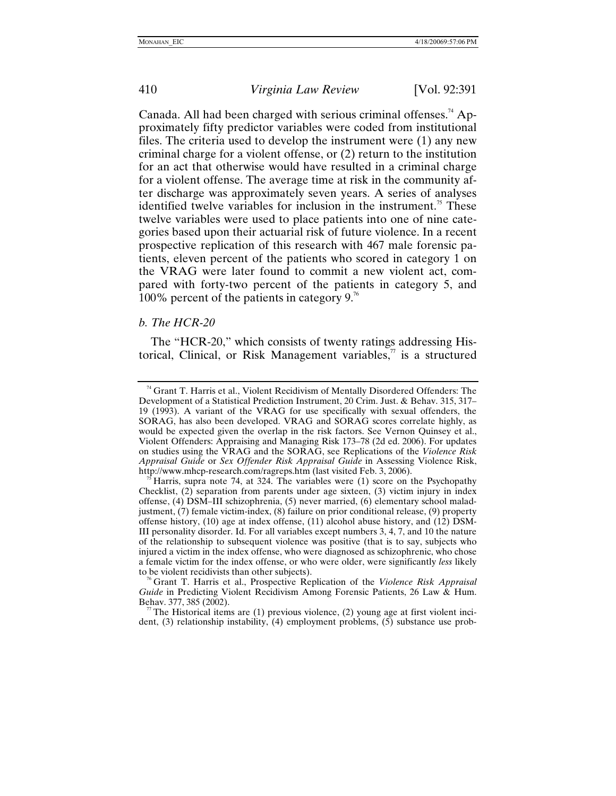<span id="page-19-0"></span>Canada. All had been charged with serious criminal offenses.<sup>74</sup> Approximately fifty predictor variables were coded from institutional files. The criteria used to develop the instrument were (1) any new criminal charge for a violent offense, or (2) return to the institution for an act that otherwise would have resulted in a criminal charge for a violent offense. The average time at risk in the community after discharge was approximately seven years. A series of analyses identified twelve variables for inclusion in the instrument.<sup>75</sup> These twelve variables were used to place patients into one of nine categories based upon their actuarial risk of future violence. In a recent prospective replication of this research with 467 male forensic patients, eleven percent of the patients who scored in category 1 on the VRAG were later found to commit a new violent act, compared with forty-two percent of the patients in category 5, and 100% percent of the patients in category 9. $\frac{1}{6}$ 

### *b. The HCR-20*

The "HCR-20," which consists of twenty ratings addressing Historical, Clinical, or Risk Management variables, $\alpha$  is a structured

<span id="page-19-1"></span><sup>74</sup> Grant T. Harris et al., Violent Recidivism of Mentally Disordered Offenders: The Development of a Statistical Prediction Instrument, 20 Crim. Just. & Behav. 315, 317– 19 (1993). A variant of the VRAG for use specifically with sexual offenders, the SORAG, has also been developed. VRAG and SORAG scores correlate highly, as would be expected given the overlap in the risk factors. See Vernon Quinsey et al., Violent Offenders: Appraising and Managing Risk 173–78 (2d ed. 2006). For updates on studies using the VRAG and the SORAG, see Replications of the *Violence Risk Appraisal Guide* or *Sex Offender Risk Appraisal Guide* in Assessing Violence Risk, http://www.mhcp-research.com/ragreps.htm (last visited Feb. 3, 2006).<br><sup>75</sup> Harris, supra note 74, at 324. The variables were (1) score on the Psychopathy

<span id="page-19-2"></span>Checklist, (2) separation from parents under age sixteen, (3) victim injury in index offense, (4) DSM–III schizophrenia, (5) never married, (6) elementary school maladjustment, (7) female victim-index, (8) failure on prior conditional release, (9) property offense history, (10) age at index offense, (11) alcohol abuse history, and (12) DSM-III personality disorder. Id. For all variables except numbers 3, 4, 7, and 10 the nature of the relationship to subsequent violence was positive (that is to say, subjects who injured a victim in the index offense, who were diagnosed as schizophrenic, who chose a female victim for the index offense, or who were older, were significantly *less* likely

<span id="page-19-3"></span>to be violent recidivists than other subjects). 76 Grant T. Harris et al., Prospective Replication of the *Violence Risk Appraisal Guide* in Predicting Violent Recidivism Among Forensic Patients, 26 Law & Hum.<br>Behav. 377, 385 (2002).

<span id="page-19-4"></span>The Historical items are (1) previous violence, (2) young age at first violent incident, (3) relationship instability, (4) employment problems, (5) substance use prob-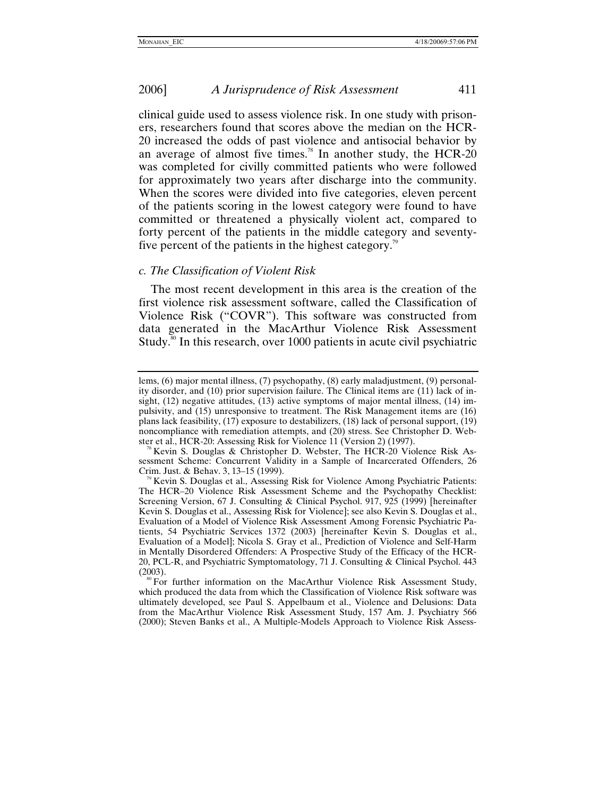<span id="page-20-0"></span>clinical guide used to assess violence risk. In one study with prisoners, researchers found that scores above the median on the HCR-20 increased the odds of past violence and antisocial behavior by an average of almost five times.<sup>78</sup> In another study, the HCR-20 was completed for civilly committed patients who were followed for approximately two years after discharge into the community. When the scores were divided into five categories, eleven percent of the patients scoring in the lowest category were found to have committed or threatened a physically violent act, compared to forty percent of the patients in the middle category and seventyfive percent of the patients in the highest category.<sup>79</sup>

### *c. The Classification of Violent Risk*

The most recent development in this area is the creation of the first violence risk assessment software, called the Classification of Violence Risk ("COVR"). This software was constructed from data generated in the MacArthur Violence Risk Assessment Study.<sup>80</sup> In this research, over 1000 patients in acute civil psychiatric

lems, (6) major mental illness, (7) psychopathy, (8) early maladjustment, (9) personality disorder, and (10) prior supervision failure. The Clinical items are (11) lack of insight, (12) negative attitudes, (13) active symptoms of major mental illness, (14) impulsivity, and (15) unresponsive to treatment. The Risk Management items are (16) plans lack feasibility, (17) exposure to destabilizers, (18) lack of personal support, (19) noncompliance with remediation attempts, and (20) stress. See Christopher D. Web-<br>ster et al., HCR-20: Assessing Risk for Violence 11 (Version 2) (1997).

<span id="page-20-1"></span>Kevin S. Douglas & Christopher D. Webster, The HCR-20 Violence Risk Assessment Scheme: Concurrent Validity in a Sample of Incarcerated Offenders, 26 Crim. Just. & Behav. 3, 13–15 (1999).<br><sup>79</sup> Kevin S. Douglas et al., Assessing Risk for Violence Among Psychiatric Patients:

<span id="page-20-2"></span>The HCR–20 Violence Risk Assessment Scheme and the Psychopathy Checklist: Screening Version, 67 J. Consulting & Clinical Psychol. 917, 925 (1999) [hereinafter Kevin S. Douglas et al., Assessing Risk for Violence]; see also Kevin S. Douglas et al., Evaluation of a Model of Violence Risk Assessment Among Forensic Psychiatric Patients, 54 Psychiatric Services 1372 (2003) [hereinafter Kevin S. Douglas et al., Evaluation of a Model]; Nicola S. Gray et al., Prediction of Violence and Self-Harm in Mentally Disordered Offenders: A Prospective Study of the Efficacy of the HCR-20, PCL-R, and Psychiatric Symptomatology, 71 J. Consulting & Clinical Psychol. 443

<span id="page-20-3"></span><sup>(2003).&</sup>lt;br><sup>80</sup> For further information on the MacArthur Violence Risk Assessment Study, which produced the data from which the Classification of Violence Risk software was ultimately developed, see Paul S. Appelbaum et al., Violence and Delusions: Data from the MacArthur Violence Risk Assessment Study, 157 Am. J. Psychiatry 566 (2000); Steven Banks et al., A Multiple-Models Approach to Violence Risk Assess-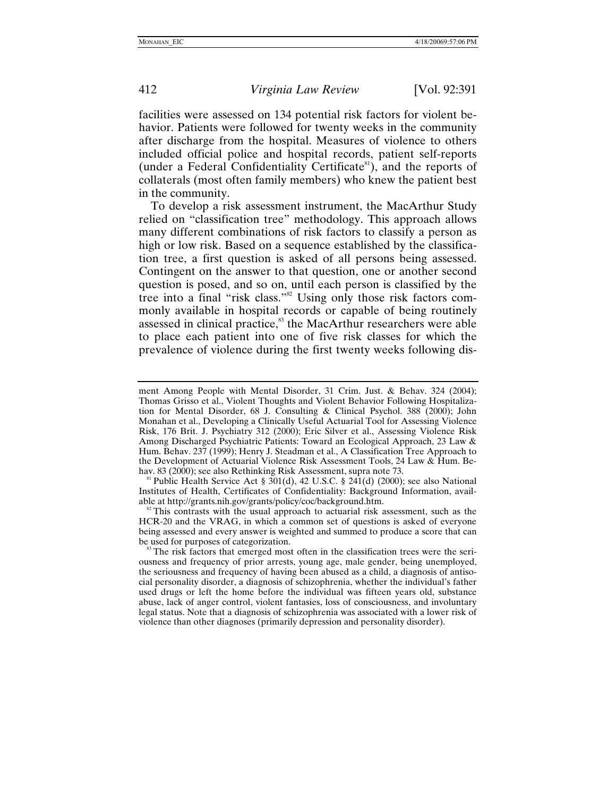facilities were assessed on 134 potential risk factors for violent behavior. Patients were followed for twenty weeks in the community after discharge from the hospital. Measures of violence to others included official police and hospital records, patient self-reports (under a Federal Confidentiality Certificate ${}^{81}$ ), and the reports of collaterals (most often family members) who knew the patient best in the community.

To develop a risk assessment instrument, the MacArthur Study relied on "classification tree" methodology. This approach allows many different combinations of risk factors to classify a person as high or low risk. Based on a sequence established by the classification tree, a first question is asked of all persons being assessed. Contingent on the answer to that question, one or another second question is posed, and so on, until each person is classified by the tree into a final "risk class.["82](#page-21-1) Using only those risk factors commonly available in hospital records or capable of being routinely assessed in clinical practice,<sup>83</sup> the MacArthur researchers were able to place each patient into one of five risk classes for which the prevalence of violence during the first twenty weeks following dis-

<span id="page-21-0"></span>hav. 83 (2000); see also Rethinking Risk Assessment, supra note 73.<br><sup>81</sup> Public Health Service Act § 301(d), 42 U.S.C. § 241(d) (2000); see also National Institutes of Health, Certificates of Confidentiality: Background Information, available at http://grants.nih.gov/grants/policy/coc/background.htm.<br><sup>82</sup> This contrasts with the usual approach to actuarial risk assessment, such as the

<span id="page-21-1"></span>HCR-20 and the VRAG, in which a common set of questions is asked of everyone being assessed and every answer is weighted and summed to produce a score that can<br>be used for purposes of categorization.

ment Among People with Mental Disorder, 31 Crim. Just. & Behav. 324 (2004); Thomas Grisso et al., Violent Thoughts and Violent Behavior Following Hospitalization for Mental Disorder, 68 J. Consulting & Clinical Psychol. 388 (2000); John Monahan et al., Developing a Clinically Useful Actuarial Tool for Assessing Violence Risk, 176 Brit. J. Psychiatry 312 (2000); Eric Silver et al., Assessing Violence Risk Among Discharged Psychiatric Patients: Toward an Ecological Approach, 23 Law & Hum. Behav. 237 (1999); Henry J. Steadman et al., A Classification Tree Approach to the Development of Actuarial Violence Risk Assessment Tools, 24 Law & Hum. Be-

<span id="page-21-2"></span>The risk factors that emerged most often in the classification trees were the seriousness and frequency of prior arrests, young age, male gender, being unemployed, the seriousness and frequency of having been abused as a child, a diagnosis of antisocial personality disorder, a diagnosis of schizophrenia, whether the individual's father used drugs or left the home before the individual was fifteen years old, substance abuse, lack of anger control, violent fantasies, loss of consciousness, and involuntary legal status. Note that a diagnosis of schizophrenia was associated with a lower risk of violence than other diagnoses (primarily depression and personality disorder).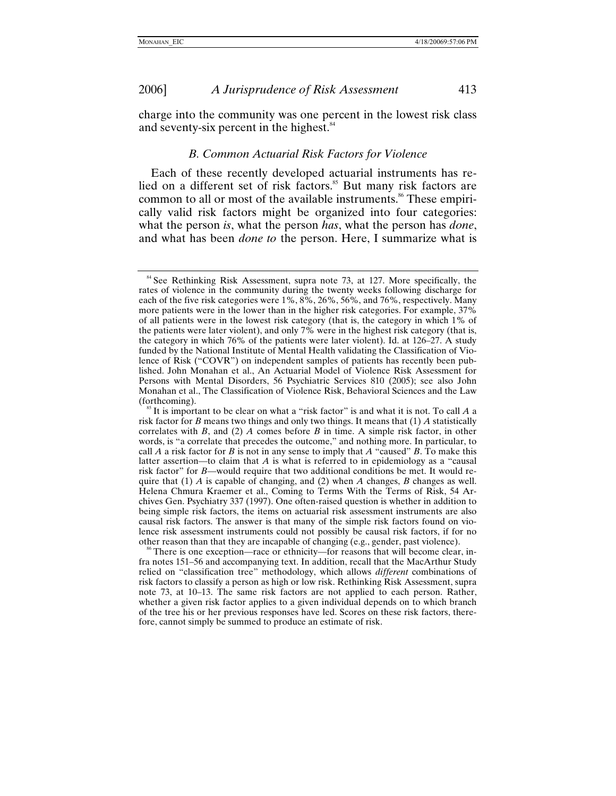<span id="page-22-0"></span>charge into the community was one percent in the lowest risk class and seventy-six percent in the highest.<sup>[84](#page-22-1)</sup>

#### *B. Common Actuarial Risk Factors for Violence*

Each of these recently developed actuarial instruments has relied on a different set of risk factors.<sup>85</sup> But many risk factors are common to all or most of the available instruments.<sup>86</sup> These empirically valid risk factors might be organized into four categories: what the person *is*, what the person *has*, what the person has *done*, and what has been *done to* the person. Here, I summarize what is

<span id="page-22-3"></span>There is one exception—race or ethnicity—for reasons that will become clear, infra notes 151–56 and accompanying text. In addition, recall that the MacArthur Study relied on "classification tree" methodology, which allows *different* combinations of risk factors to classify a person as high or low risk. Rethinking Risk Assessment, supra note 73, at 10–13. The same risk factors are not applied to each person. Rather, whether a given risk factor applies to a given individual depends on to which branch of the tree his or her previous responses have led. Scores on these risk factors, therefore, cannot simply be summed to produce an estimate of risk.

<span id="page-22-1"></span> $84$  See Rethinking Risk Assessment, supra note 73, at 127. More specifically, the rates of violence in the community during the twenty weeks following discharge for each of the five risk categories were 1%, 8%, 26%, 56%, and 76%, respectively. Many more patients were in the lower than in the higher risk categories. For example, 37% of all patients were in the lowest risk category (that is, the category in which 1% of the patients were later violent), and only 7% were in the highest risk category (that is, the category in which 76% of the patients were later violent). Id. at 126–27. A study funded by the National Institute of Mental Health validating the Classification of Violence of Risk ("COVR") on independent samples of patients has recently been published. John Monahan et al., An Actuarial Model of Violence Risk Assessment for Persons with Mental Disorders, 56 Psychiatric Services 810 (2005); see also John Monahan et al., The Classification of Violence Risk, Behavioral Sciences and the Law

<span id="page-22-2"></span><sup>&</sup>lt;sup>85</sup> It is important to be clear on what a "risk factor" is and what it is not. To call *A* a risk factor for *B* means two things and only two things. It means that (1) *A* statistically correlates with *B*, and (2) *A* comes before *B* in time. A simple risk factor, in other words, is "a correlate that precedes the outcome," and nothing more. In particular, to call *A* a risk factor for *B* is not in any sense to imply that *A* "caused" *B*. To make this latter assertion—to claim that *A* is what is referred to in epidemiology as a "causal risk factor" for *B*—would require that two additional conditions be met. It would require that (1) *A* is capable of changing, and (2) when *A* changes, *B* changes as well. Helena Chmura Kraemer et al., Coming to Terms With the Terms of Risk, 54 Archives Gen. Psychiatry 337 (1997). One often-raised question is whether in addition to being simple risk factors, the items on actuarial risk assessment instruments are also causal risk factors. The answer is that many of the simple risk factors found on violence risk assessment instruments could not possibly be causal risk factors, if for no other reason than that they are incapable of changing (e.g., gender, past violence).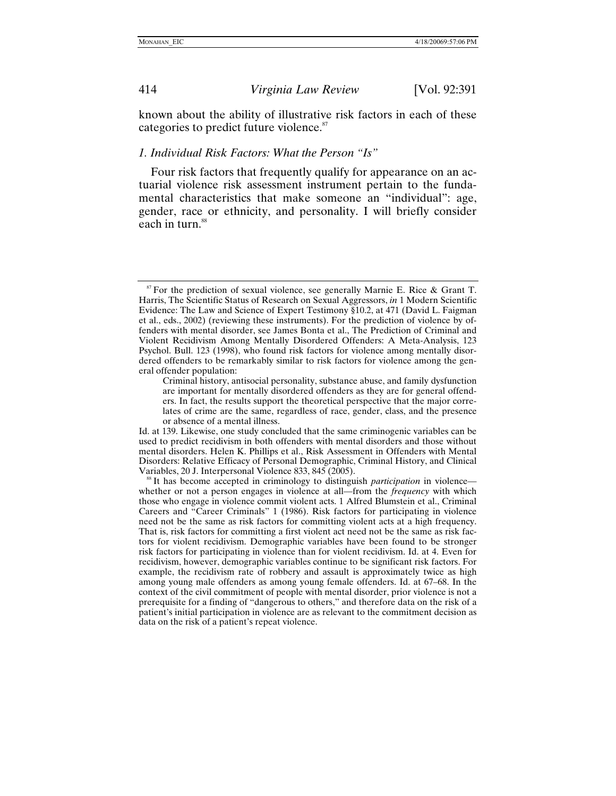<span id="page-23-0"></span>

known about the ability of illustrative risk factors in each of these categories to predict future violence.<sup>87</sup>

## *1. Individual Risk Factors: What the Person "Is"*

Four risk factors that frequently qualify for appearance on an actuarial violence risk assessment instrument pertain to the fundamental characteristics that make someone an "individual": age, gender, race or ethnicity, and personality. I will briefly consider each in turn.<sup>88</sup>

<span id="page-23-1"></span> $87$  For the prediction of sexual violence, see generally Marnie E. Rice & Grant T. Harris, The Scientific Status of Research on Sexual Aggressors, *in* 1 Modern Scientific Evidence: The Law and Science of Expert Testimony §10.2, at 471 (David L. Faigman et al., eds., 2002) (reviewing these instruments). For the prediction of violence by offenders with mental disorder, see James Bonta et al., The Prediction of Criminal and Violent Recidivism Among Mentally Disordered Offenders: A Meta-Analysis, 123 Psychol. Bull. 123 (1998), who found risk factors for violence among mentally disordered offenders to be remarkably similar to risk factors for violence among the general offender population:

Criminal history, antisocial personality, substance abuse, and family dysfunction are important for mentally disordered offenders as they are for general offenders. In fact, the results support the theoretical perspective that the major correlates of crime are the same, regardless of race, gender, class, and the presence or absence of a mental illness.

Id. at 139. Likewise, one study concluded that the same criminogenic variables can be used to predict recidivism in both offenders with mental disorders and those without mental disorders. Helen K. Phillips et al., Risk Assessment in Offenders with Mental Disorders: Relative Efficacy of Personal Demographic, Criminal History, and Clinical Variables, 20 J. Interpersonal Violence 833, 845 (2005).<br><sup>88</sup> It has become accepted in criminology to distinguish *participation* in violence—

<span id="page-23-2"></span>whether or not a person engages in violence at all—from the *frequency* with which those who engage in violence commit violent acts. 1 Alfred Blumstein et al., Criminal Careers and "Career Criminals" 1 (1986). Risk factors for participating in violence need not be the same as risk factors for committing violent acts at a high frequency. That is, risk factors for committing a first violent act need not be the same as risk factors for violent recidivism. Demographic variables have been found to be stronger risk factors for participating in violence than for violent recidivism. Id. at 4. Even for recidivism, however, demographic variables continue to be significant risk factors. For example, the recidivism rate of robbery and assault is approximately twice as high among young male offenders as among young female offenders. Id. at 67–68. In the context of the civil commitment of people with mental disorder, prior violence is not a prerequisite for a finding of "dangerous to others," and therefore data on the risk of a patient's initial participation in violence are as relevant to the commitment decision as data on the risk of a patient's repeat violence.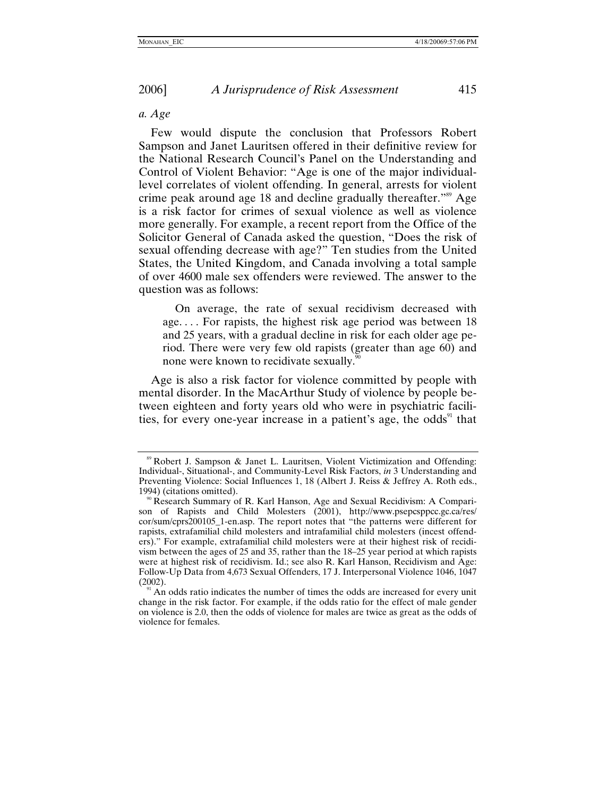### <span id="page-24-0"></span>*a. Age*

Few would dispute the conclusion that Professors Robert Sampson and Janet Lauritsen offered in their definitive review for the National Research Council's Panel on the Understanding and Control of Violent Behavior: "Age is one of the major individuallevel correlates of violent offending. In general, arrests for violent crime peak around age 18 and decline gradually thereafter.["89](#page-24-1) Age is a risk factor for crimes of sexual violence as well as violence more generally. For example, a recent report from the Office of the Solicitor General of Canada asked the question, "Does the risk of sexual offending decrease with age?" Ten studies from the United States, the United Kingdom, and Canada involving a total sample of over 4600 male sex offenders were reviewed. The answer to the question was as follows:

On average, the rate of sexual recidivism decreased with age. . . . For rapists, the highest risk age period was between 18 and 25 years, with a gradual decline in risk for each older age period. There were very few old rapists (greater than age 60) and none were known to recidivate sexually.

Age is also a risk factor for violence committed by people with mental disorder. In the MacArthur Study of violence by people between eighteen and forty years old who were in psychiatric facilities, for every one-year increase in a patient's age, the odds<sup>91</sup> that

<span id="page-24-1"></span><sup>89</sup> Robert J. Sampson & Janet L. Lauritsen, Violent Victimization and Offending: Individual-, Situational-, and Community-Level Risk Factors, *in* 3 Understanding and Preventing Violence: Social Influences 1, 18 (Albert J. Reiss & Jeffrey A. Roth eds., 1994) (citations omitted).

<span id="page-24-2"></span><sup>&</sup>lt;sup>90</sup> Research Summary of R. Karl Hanson, Age and Sexual Recidivism: A Comparison of Rapists and Child Molesters (2001), http://www.psepcsppcc.gc.ca/res/ cor/sum/cprs200105\_1-en.asp. The report notes that "the patterns were different for rapists, extrafamilial child molesters and intrafamilial child molesters (incest offenders)." For example, extrafamilial child molesters were at their highest risk of recidivism between the ages of 25 and 35, rather than the 18–25 year period at which rapists were at highest risk of recidivism. Id.; see also R. Karl Hanson, Recidivism and Age: Follow-Up Data from 4,673 Sexual Offenders, 17 J. Interpersonal Violence 1046, 1047

<span id="page-24-3"></span>An odds ratio indicates the number of times the odds are increased for every unit change in the risk factor. For example, if the odds ratio for the effect of male gender on violence is 2.0, then the odds of violence for males are twice as great as the odds of violence for females.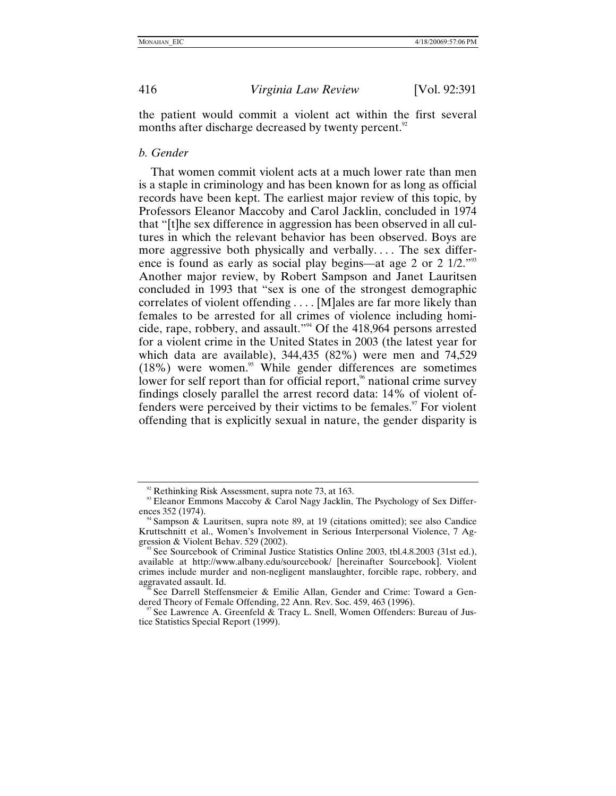the patient would commit a violent act within the first several months after discharge decreased by twenty percent.<sup>[92](#page-25-1)</sup>

#### *b. Gender*

That women commit violent acts at a much lower rate than men is a staple in criminology and has been known for as long as official records have been kept. The earliest major review of this topic, by Professors Eleanor Maccoby and Carol Jacklin, concluded in 1974 that "[t]he sex difference in aggression has been observed in all cultures in which the relevant behavior has been observed. Boys are more aggressive both physically and verbally.... The sex differ-ence is found as early as social play begins—at age 2 or 2 1/2.<sup>["93](#page-25-2)</sup> Another major review, by Robert Sampson and Janet Lauritsen concluded in 1993 that "sex is one of the strongest demographic correlates of violent offending . . . . [M]ales are far more likely than females to be arrested for all crimes of violence including homicide, rape, robbery, and assault.["94](#page-25-3) Of the 418,964 persons arrested for a violent crime in the United States in 2003 (the latest year for which data are available), 344,435 (82%) were men and 74,529  $(18\%)$  were women.<sup>95</sup> While gender differences are sometimes lower for self report than for official report,<sup>%</sup> national crime survey findings closely parallel the arrest record data: 14% of violent offenders were perceived by their victims to be females. $\degree$  For violent offending that is explicitly sexual in nature, the gender disparity is

<span id="page-25-0"></span>

<span id="page-25-2"></span>

<span id="page-25-1"></span><sup>&</sup>lt;sup>92</sup> Rethinking Risk Assessment, supra note 73, at 163.<br><sup>93</sup> Eleanor Emmons Maccoby & Carol Nagy Jacklin, The Psychology of Sex Differences 352 (1974).<br><sup>94</sup> Sampson & Lauritsen, supra note 89, at 19 (citations omitted); see also Candice

<span id="page-25-3"></span>Kruttschnitt et al., Women's Involvement in Serious Interpersonal Violence, 7 Aggression & Violent Behav. 529 (2002).

<span id="page-25-4"></span>See Sourcebook of Criminal Justice Statistics Online 2003, tbl.4.8.2003 (31st ed.), available at http://www.albany.edu/sourcebook/ [hereinafter Sourcebook]. Violent crimes include murder and non-negligent manslaughter, forcible rape, robbery, and

<span id="page-25-5"></span><sup>&</sup>lt;sup>5%</sup> See Darrell Steffensmeier & Emilie Allan, Gender and Crime: Toward a Gendered Theory of Female Offending, 22 Ann. Rev. Soc. 459, 463 (1996).

<span id="page-25-6"></span>See Lawrence A. Greenfeld & Tracy L. Snell, Women Offenders: Bureau of Justice Statistics Special Report (1999).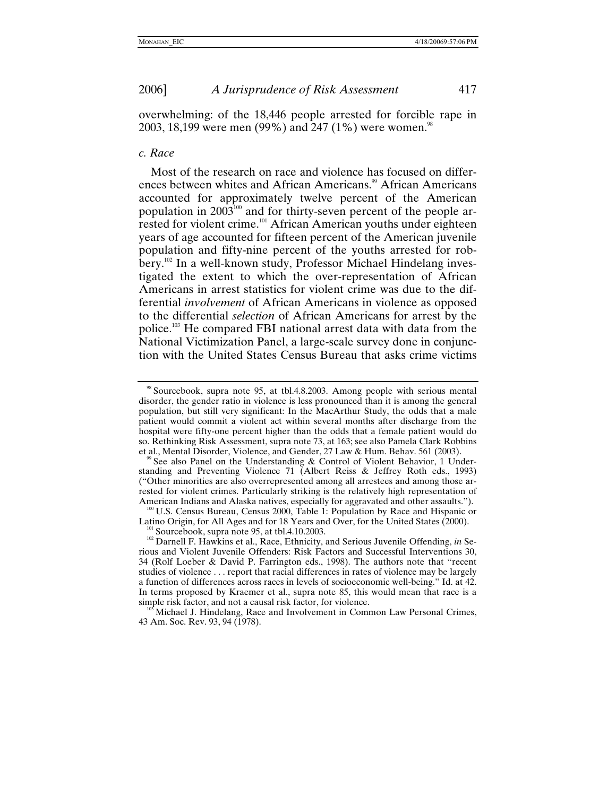<span id="page-26-0"></span>overwhelming: of the 18,446 people arrested for forcible rape in 2003, 18,199 were men (99%) and 247 (1%) were women.<sup>[98](#page-26-1)</sup>

#### *c. Race*

Most of the research on race and violence has focused on differences between whites and African Americans.<sup>99</sup> African Americans accounted for approximately twelve percent of the American population in  $2003^{100}$  and for thirty-seven percent of the people arrested for violent crime.<sup>101</sup> African American youths under eighteen years of age accounted for fifteen percent of the American juvenile population and fifty-nine percent of the youths arrested for robbery[.102](#page-26-5) In a well-known study, Professor Michael Hindelang investigated the extent to which the over-representation of African Americans in arrest statistics for violent crime was due to the differential *involvement* of African Americans in violence as opposed to the differential *selection* of African Americans for arrest by the police.[103](#page-26-6) He compared FBI national arrest data with data from the National Victimization Panel, a large-scale survey done in conjunction with the United States Census Bureau that asks crime victims

<span id="page-26-3"></span>American Indians and Alaska natives, especially for aggravated and other assaults.").<br><sup>100</sup> U.S. Census Bureau, Census 2000, Table 1: Population by Race and Hispanic or<br>Latino Origin, for All Ages and for 18 Years and Over

<span id="page-26-1"></span><sup>98</sup> Sourcebook, supra note 95, at tbl.4.8.2003. Among people with serious mental disorder, the gender ratio in violence is less pronounced than it is among the general population, but still very significant: In the MacArthur Study, the odds that a male patient would commit a violent act within several months after discharge from the hospital were fifty-one percent higher than the odds that a female patient would do so. Rethinking Risk Assessment, supra note 73, at 163; see also Pamela Clark Robbins et al., Mental Disorder, Violence, and Gender, 27 Law & Hum. Behav. 561 (2003).

<span id="page-26-2"></span>See also Panel on the Understanding & Control of Violent Behavior, 1 Understanding and Preventing Violence 71 (Albert Reiss & Jeffrey Roth eds., 1993) ("Other minorities are also overrepresented among all arrestees and among those arrested for violent crimes. Particularly striking is the relatively high representation of

<span id="page-26-5"></span><span id="page-26-4"></span><sup>&</sup>lt;sup>101</sup> Sourcebook, supra note 95, at tbl.4.10.2003.<br><sup>102</sup> Darnell F. Hawkins et al., Race, Ethnicity, and Serious Juvenile Offending, *in* Serious and Violent Juvenile Offenders: Risk Factors and Successful Interventions 30, 34 (Rolf Loeber & David P. Farrington eds., 1998). The authors note that "recent studies of violence . . . report that racial differences in rates of violence may be largely a function of differences across races in levels of socioeconomic well-being." Id. at 42. In terms proposed by Kraemer et al., supra note 85, this would mean that race is a

<span id="page-26-6"></span>Michael J. Hindelang, Race and Involvement in Common Law Personal Crimes, 43 Am. Soc. Rev. 93, 94 (1978).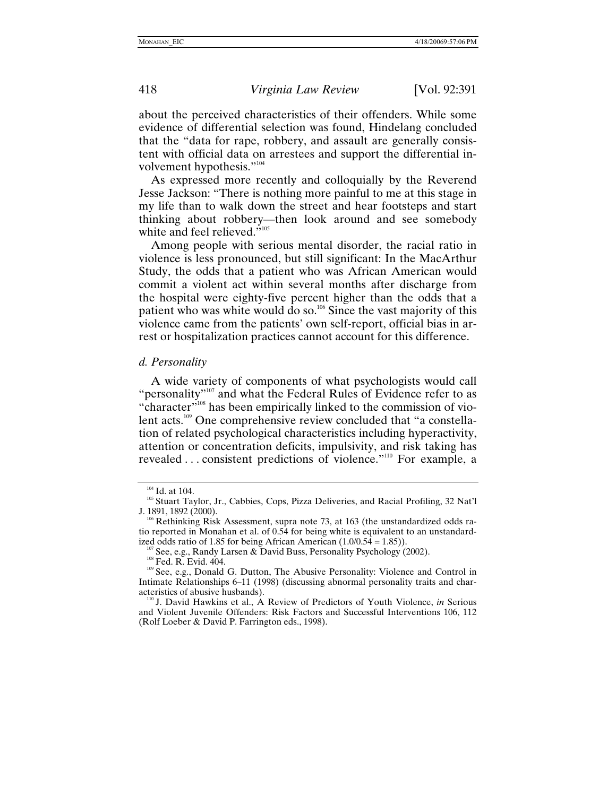about the perceived characteristics of their offenders. While some evidence of differential selection was found, Hindelang concluded that the "data for rape, robbery, and assault are generally consistent with official data on arrestees and support the differential in-volvement hypothesis."<sup>[104](#page-27-1)</sup>

As expressed more recently and colloquially by the Reverend Jesse Jackson: "There is nothing more painful to me at this stage in my life than to walk down the street and hear footsteps and start thinking about robbery—then look around and see somebody white and feel relieved."<sup>105</sup>

Among people with serious mental disorder, the racial ratio in violence is less pronounced, but still significant: In the MacArthur Study, the odds that a patient who was African American would commit a violent act within several months after discharge from the hospital were eighty-five percent higher than the odds that a patient who was white would do so.<sup>106</sup> Since the vast majority of this violence came from the patients' own self-report, official bias in arrest or hospitalization practices cannot account for this difference.

#### *d. Personality*

A wide variety of components of what psychologists would call "personality"<sup>107</sup> and what the Federal Rules of Evidence refer to as "character"<sup>108</sup> has been empirically linked to the commission of violent acts.<sup>109</sup> One comprehensive review concluded that "a constellation of related psychological characteristics including hyperactivity, attention or concentration deficits, impulsivity, and risk taking has revealed . . . consistent predictions of violence."[110](#page-27-7) For example, a

<span id="page-27-0"></span>

<span id="page-27-2"></span>

<span id="page-27-1"></span><sup>104</sup> Id. at 104. 105 Stuart Taylor, Jr., Cabbies, Cops, Pizza Deliveries, and Racial Profiling, 32 Nat'l J. 1891, 1892 (2000).<br><sup>106</sup> Rethinking Risk Assessment, supra note 73, at 163 (the unstandardized odds ra-

<span id="page-27-3"></span>tio reported in Monahan et al. of 0.54 for being white is equivalent to an unstandard-<br>ized odds ratio of 1.85 for being African American  $(1.0/0.54 = 1.85)$ ).

<span id="page-27-6"></span>

<span id="page-27-5"></span><span id="page-27-4"></span><sup>&</sup>lt;sup>107</sup> See, e.g., Randy Larsen & David Buss, Personality Psychology (2002).<br><sup>108</sup> Fed. R. Evid. 404.<br><sup>109</sup> See, e.g., Donald G. Dutton, The Abusive Personality: Violence and Control in Intimate Relationships 6–11 (1998) (discussing abnormal personality traits and char-

<span id="page-27-7"></span><sup>&</sup>lt;sup>110</sup> J. David Hawkins et al., A Review of Predictors of Youth Violence, *in Serious* and Violent Juvenile Offenders: Risk Factors and Successful Interventions 106, 112 (Rolf Loeber & David P. Farrington eds., 1998).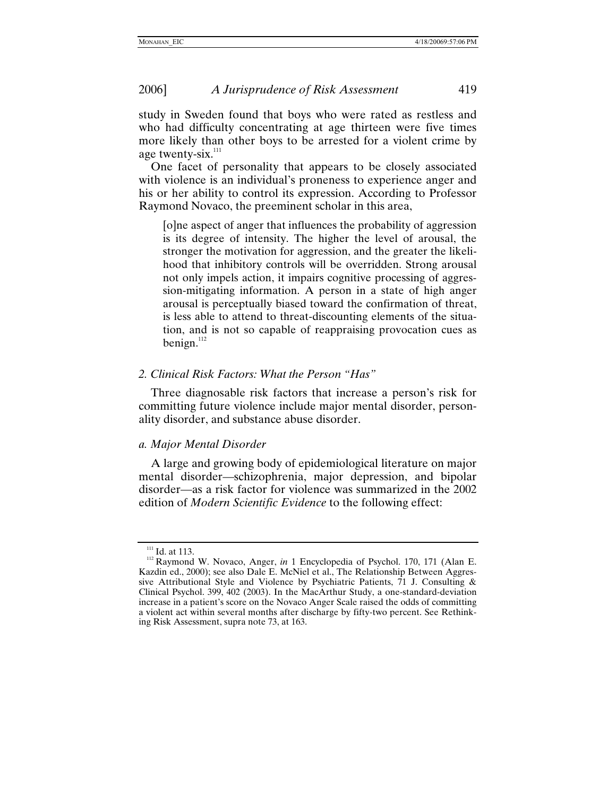<span id="page-28-0"></span>study in Sweden found that boys who were rated as restless and who had difficulty concentrating at age thirteen were five times more likely than other boys to be arrested for a violent crime by age twenty-six. $111$ 

One facet of personality that appears to be closely associated with violence is an individual's proneness to experience anger and his or her ability to control its expression. According to Professor Raymond Novaco, the preeminent scholar in this area,

[o]ne aspect of anger that influences the probability of aggression is its degree of intensity. The higher the level of arousal, the stronger the motivation for aggression, and the greater the likelihood that inhibitory controls will be overridden. Strong arousal not only impels action, it impairs cognitive processing of aggression-mitigating information. A person in a state of high anger arousal is perceptually biased toward the confirmation of threat, is less able to attend to threat-discounting elements of the situation, and is not so capable of reappraising provocation cues as benign[.](#page-28-2) $^{112}$ 

### *2. Clinical Risk Factors: What the Person "Has"*

Three diagnosable risk factors that increase a person's risk for committing future violence include major mental disorder, personality disorder, and substance abuse disorder.

### *a. Major Mental Disorder*

A large and growing body of epidemiological literature on major mental disorder—schizophrenia, major depression, and bipolar disorder—as a risk factor for violence was summarized in the 2002 edition of *Modern Scientific Evidence* to the following effect:

<span id="page-28-2"></span><span id="page-28-1"></span><sup>&</sup>lt;sup>111</sup> Id. at 113.<br><sup>112</sup> Raymond W. Novaco, Anger, *in* 1 Encyclopedia of Psychol. 170, 171 (Alan E. Kazdin ed., 2000); see also Dale E. McNiel et al., The Relationship Between Aggressive Attributional Style and Violence by Psychiatric Patients, 71 J. Consulting & Clinical Psychol. 399, 402 (2003). In the MacArthur Study, a one-standard-deviation increase in a patient's score on the Novaco Anger Scale raised the odds of committing a violent act within several months after discharge by fifty-two percent. See Rethinking Risk Assessment, supra note 73, at 163.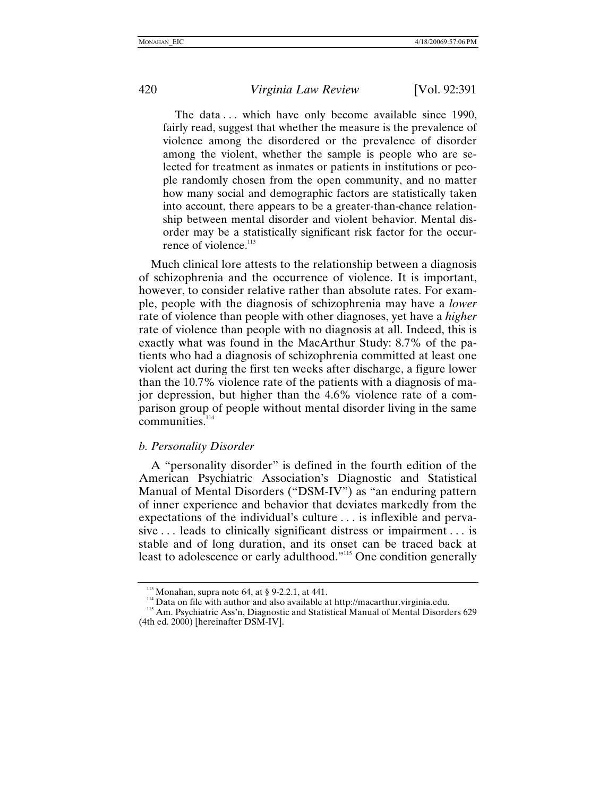<span id="page-29-0"></span>

The data ... which have only become available since 1990, fairly read, suggest that whether the measure is the prevalence of violence among the disordered or the prevalence of disorder among the violent, whether the sample is people who are selected for treatment as inmates or patients in institutions or people randomly chosen from the open community, and no matter how many social and demographic factors are statistically taken into account, there appears to be a greater-than-chance relationship between mental disorder and violent behavior. Mental disorder may be a statistically significant risk factor for the occur-rence of violence[.](#page-29-1) $^{113}$ 

Much clinical lore attests to the relationship between a diagnosis of schizophrenia and the occurrence of violence. It is important, however, to consider relative rather than absolute rates. For example, people with the diagnosis of schizophrenia may have a *lower* rate of violence than people with other diagnoses, yet have a *higher* rate of violence than people with no diagnosis at all. Indeed, this is exactly what was found in the MacArthur Study: 8.7% of the patients who had a diagnosis of schizophrenia committed at least one violent act during the first ten weeks after discharge, a figure lower than the 10.7% violence rate of the patients with a diagnosis of major depression, but higher than the 4.6% violence rate of a comparison group of people without mental disorder living in the same communities.<sup>[114](#page-29-2)</sup>

### *b. Personality Disorder*

A "personality disorder" is defined in the fourth edition of the American Psychiatric Association's Diagnostic and Statistical Manual of Mental Disorders ("DSM-IV") as "an enduring pattern of inner experience and behavior that deviates markedly from the expectations of the individual's culture . . . is inflexible and pervasive . . . leads to clinically significant distress or impairment . . . is stable and of long duration, and its onset can be traced back at least to adolescence or early adulthood.["115](#page-29-3) One condition generally

<span id="page-29-3"></span><span id="page-29-2"></span>

<span id="page-29-1"></span><sup>&</sup>lt;sup>113</sup> Monahan, supra note 64, at § 9-2.2.1, at 441.<br><sup>114</sup> Data on file with author and also available at http://macarthur.virginia.edu.<br><sup>115</sup> Am. Psychiatric Ass'n, Diagnostic and Statistical Manual of Mental Disorders 62 (4th ed. 2000) [hereinafter DSM-IV].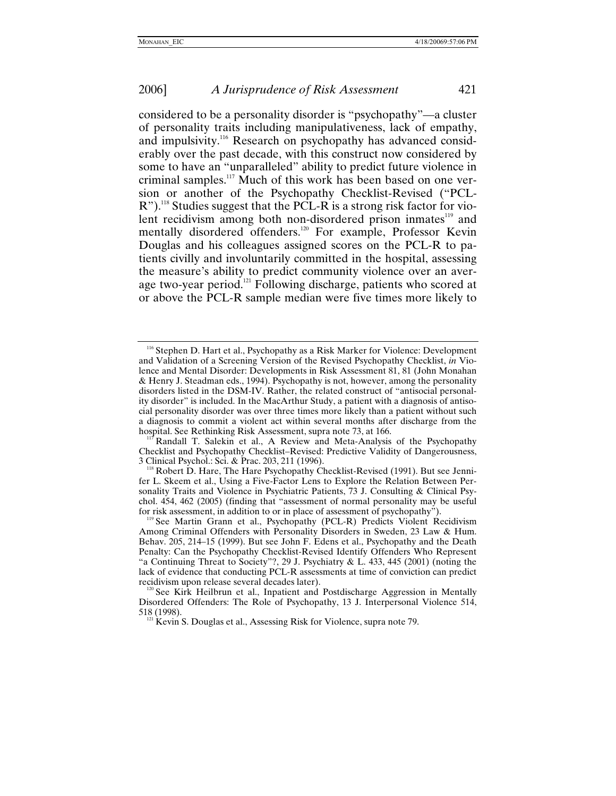considered to be a personality disorder is "psychopathy"—a cluster of personality traits including manipulativeness, lack of empathy, and impulsivity[.116](#page-30-0) Research on psychopathy has advanced considerably over the past decade, with this construct now considered by some to have an "unparalleled" ability to predict future violence in criminal samples.<sup>117</sup> Much of this work has been based on one version or another of the Psychopathy Checklist-Revised ("PCL-R").<sup>118</sup> Studies suggest that the PCL-R is a strong risk factor for violent recidivism among both non-disordered prison inmates<sup>119</sup> and mentally disordered offenders.<sup>120</sup> For example, Professor Kevin Douglas and his colleagues assigned scores on the PCL-R to patients civilly and involuntarily committed in the hospital, assessing the measure's ability to predict community violence over an average two-year period.<sup>121</sup> Following discharge, patients who scored at or above the PCL-R sample median were five times more likely to

<span id="page-30-0"></span><sup>&</sup>lt;sup>116</sup> Stephen D. Hart et al., Psychopathy as a Risk Marker for Violence: Development and Validation of a Screening Version of the Revised Psychopathy Checklist, *in* Violence and Mental Disorder: Developments in Risk Assessment 81, 81 (John Monahan & Henry J. Steadman eds., 1994). Psychopathy is not, however, among the personality disorders listed in the DSM-IV. Rather, the related construct of "antisocial personality disorder" is included. In the MacArthur Study, a patient with a diagnosis of antisocial personality disorder was over three times more likely than a patient without such a diagnosis to commit a violent act within several months after discharge from the hospital. See Rethinking Risk Assessment, supra note 73, at 166.

<span id="page-30-1"></span>Randall T. Salekin et al., A Review and Meta-Analysis of the Psychopathy Checklist and Psychopathy Checklist–Revised: Predictive Validity of Dangerousness,

<span id="page-30-2"></span><sup>3</sup> Clinical Psychol.: Sci. & Prac. 203, 211 (1996).<br><sup>118</sup> Robert D. Hare, The Hare Psychopathy Checklist-Revised (1991). But see Jennifer L. Skeem et al., Using a Five-Factor Lens to Explore the Relation Between Personality Traits and Violence in Psychiatric Patients, 73 J. Consulting & Clinical Psychol. 454, 462 (2005) (finding that "assessment of normal personality may be useful

<span id="page-30-3"></span>for risk assessment, in addition to or in place of assessment of psychopathy"). 119 See Martin Grann et al., Psychopathy (PCL-R) Predicts Violent Recidivism Among Criminal Offenders with Personality Disorders in Sweden, 23 Law & Hum. Behav. 205, 214–15 (1999). But see John F. Edens et al., Psychopathy and the Death Penalty: Can the Psychopathy Checklist-Revised Identify Offenders Who Represent "a Continuing Threat to Society"?, 29 J. Psychiatry & L. 433, 445 (2001) (noting the lack of evidence that conducting PCL-R assessments at time of conviction can predict recidivism upon release several decades later).

<span id="page-30-4"></span><sup>&</sup>lt;sup>120</sup> See Kirk Heilbrun et al., Inpatient and Postdischarge Aggression in Mentally Disordered Offenders: The Role of Psychopathy, 13 J. Interpersonal Violence 514, 518 (1998).  $121$  Kevin S. Douglas et al., Assessing Risk for Violence, supra note 79.

<span id="page-30-5"></span>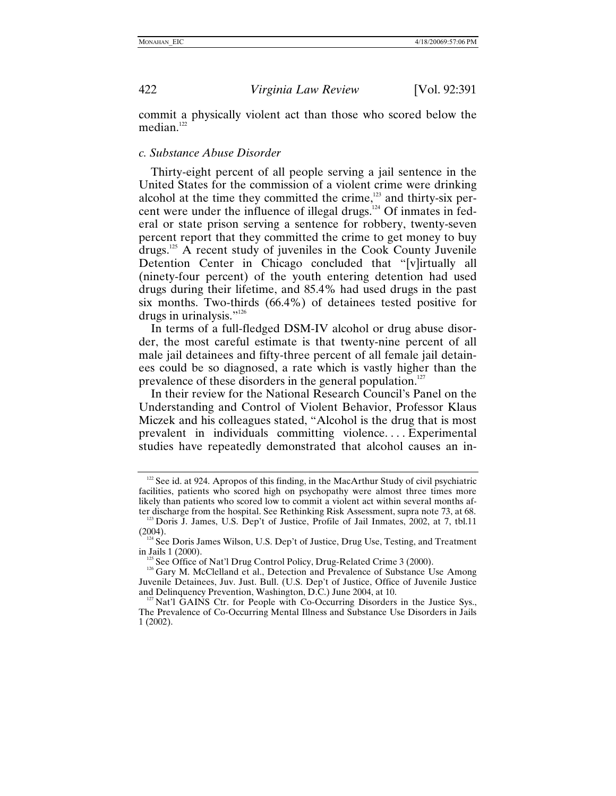commit a physically violent act than those who scored below the median. $122$ 

#### *c. Substance Abuse Disorder*

Thirty-eight percent of all people serving a jail sentence in the United States for the commission of a violent crime were drinking alcohol at the time they committed the crime, $123$  and thirty-six percent were under the influence of illegal drugs. $124$  Of inmates in federal or state prison serving a sentence for robbery, twenty-seven percent report that they committed the crime to get money to buy drugs.[125](#page-31-4) A recent study of juveniles in the Cook County Juvenile Detention Center in Chicago concluded that "[v]irtually all (ninety-four percent) of the youth entering detention had used drugs during their lifetime, and 85.4% had used drugs in the past six months. Two-thirds (66.4%) of detainees tested positive for drugs in urinalysis."<sup>[126](#page-31-5)</sup>

In terms of a full-fledged DSM-IV alcohol or drug abuse disorder, the most careful estimate is that twenty-nine percent of all male jail detainees and fifty-three percent of all female jail detainees could be so diagnosed, a rate which is vastly higher than the prevalence of these disorders in the general population.<sup>[127](#page-31-6)</sup>

In their review for the National Research Council's Panel on the Understanding and Control of Violent Behavior, Professor Klaus Miczek and his colleagues stated, "Alcohol is the drug that is most prevalent in individuals committing violence. . . . Experimental studies have repeatedly demonstrated that alcohol causes an in-

<span id="page-31-0"></span>

<span id="page-31-1"></span> $122$  See id. at 924. Apropos of this finding, in the MacArthur Study of civil psychiatric facilities, patients who scored high on psychopathy were almost three times more likely than patients who scored low to commit a violent act within several months af-

<span id="page-31-2"></span>ter discharge from the hospital. See Rethinking Risk Assessment, supra note 73, at 68. <sup>123</sup> Doris J. James, U.S. Dep't of Justice, Profile of Jail Inmates, 2002, at 7, tbl.11 (2004).

<span id="page-31-3"></span> $124$  See Doris James Wilson, U.S. Dep't of Justice, Drug Use, Testing, and Treatment in Jails 1 (2000).

<span id="page-31-5"></span><span id="page-31-4"></span><sup>&</sup>lt;sup>125</sup> See Office of Nat'l Drug Control Policy, Drug-Related Crime 3 (2000).<br><sup>126</sup> Gary M. McClelland et al., Detection and Prevalence of Substance Use Among Juvenile Detainees, Juv. Just. Bull. (U.S. Dep't of Justice, Office of Juvenile Justice and Delinquency Prevention, Washington, D.C.) June 2004, at 10.

<span id="page-31-6"></span> $127$  Nat'l GAINS Ctr. for People with Co-Occurring Disorders in the Justice Sys., The Prevalence of Co-Occurring Mental Illness and Substance Use Disorders in Jails 1 (2002).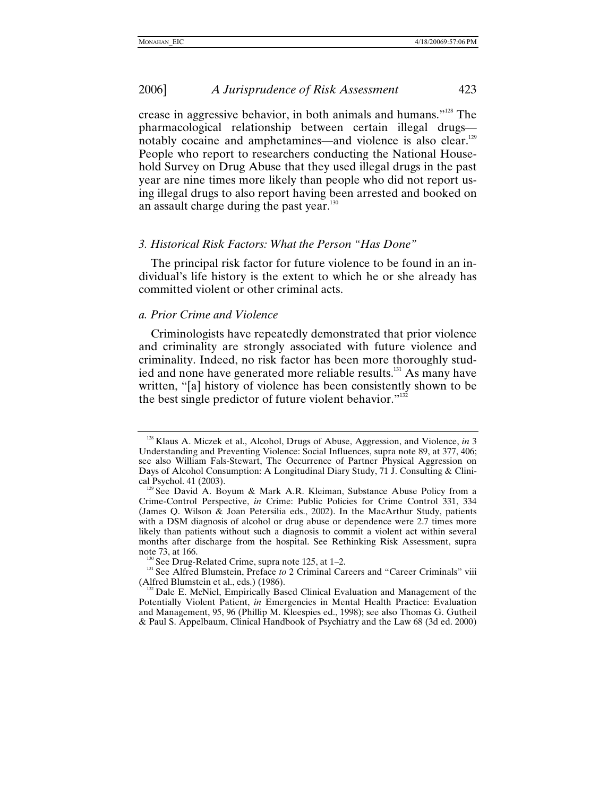<span id="page-32-0"></span>crease in aggressive behavior, in both animals and humans.["128](#page-32-1) The pharmacological relationship between certain illegal drugs notably cocaine and amphetamines—and violence is also clear.<sup>129</sup> People who report to researchers conducting the National Household Survey on Drug Abuse that they used illegal drugs in the past year are nine times more likely than people who did not report using illegal drugs to also report having been arrested and booked on an assault charge during the past year.<sup>130</sup>

# *3. Historical Risk Factors: What the Person "Has Done"*

The principal risk factor for future violence to be found in an individual's life history is the extent to which he or she already has committed violent or other criminal acts.

# *a. Prior Crime and Violence*

Criminologists have repeatedly demonstrated that prior violence and criminality are strongly associated with future violence and criminality. Indeed, no risk factor has been more thoroughly studied and none have generated more reliable results.<sup>131</sup> As many have written, "[a] history of violence has been consistently shown to be the best single predictor of future violent behavior."<sup>132</sup>

<span id="page-32-1"></span><sup>&</sup>lt;sup>128</sup> Klaus A. Miczek et al., Alcohol, Drugs of Abuse, Aggression, and Violence, *in* 3 Understanding and Preventing Violence: Social Influences, supra note 89, at 377, 406; see also William Fals-Stewart, The Occurrence of Partner Physical Aggression on Days of Alcohol Consumption: A Longitudinal Diary Study, 71 J. Consulting & Clinical Psychol. 41 (2003).

<span id="page-32-2"></span><sup>&</sup>lt;sup>129</sup> See David A. Boyum & Mark A.R. Kleiman, Substance Abuse Policy from a Crime-Control Perspective, *in* Crime: Public Policies for Crime Control 331, 334 (James Q. Wilson & Joan Petersilia eds., 2002). In the MacArthur Study, patients with a DSM diagnosis of alcohol or drug abuse or dependence were 2.7 times more likely than patients without such a diagnosis to commit a violent act within several months after discharge from the hospital. See Rethinking Risk Assessment, supra note 73, at 166.

<span id="page-32-4"></span><span id="page-32-3"></span><sup>&</sup>lt;sup>130</sup> See Drug-Related Crime, supra note 125, at 1–2.<br><sup>131</sup> See Alfred Blumstein, Preface *to* 2 Criminal Careers and "Career Criminals" viii (Alfred Blumstein et al., eds.) (1986).

<span id="page-32-5"></span>Dale E. McNiel, Empirically Based Clinical Evaluation and Management of the Potentially Violent Patient, *in* Emergencies in Mental Health Practice: Evaluation and Management, 95, 96 (Phillip M. Kleespies ed., 1998); see also Thomas G. Gutheil & Paul S. Appelbaum, Clinical Handbook of Psychiatry and the Law 68 (3d ed. 2000)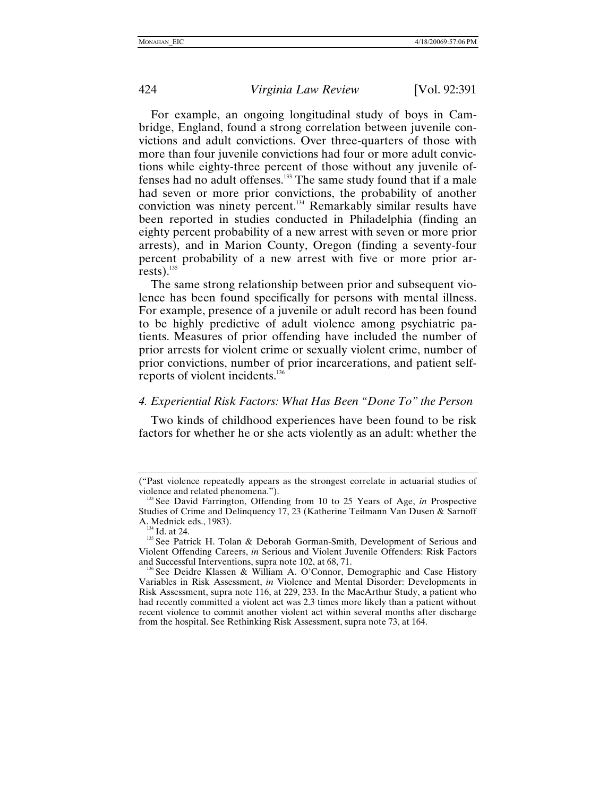<span id="page-33-0"></span>

For example, an ongoing longitudinal study of boys in Cambridge, England, found a strong correlation between juvenile convictions and adult convictions. Over three-quarters of those with more than four juvenile convictions had four or more adult convictions while eighty-three percent of those without any juvenile offenses had no adult offenses[.133](#page-33-1) The same study found that if a male had seven or more prior convictions, the probability of another conviction was ninety percent.<sup>134</sup> Remarkably similar results have been reported in studies conducted in Philadelphia (finding an eighty percent probability of a new arrest with seven or more prior arrests), and in Marion County, Oregon (finding a seventy-four percent probability of a new arrest with five or more prior arrests). $135$ 

The same strong relationship between prior and subsequent violence has been found specifically for persons with mental illness. For example, presence of a juvenile or adult record has been found to be highly predictive of adult violence among psychiatric patients. Measures of prior offending have included the number of prior arrests for violent crime or sexually violent crime, number of prior convictions, number of prior incarcerations, and patient self-reports of violent incidents.<sup>[136](#page-33-4)</sup>

## *4. Experiential Risk Factors: What Has Been "Done To" the Person*

Two kinds of childhood experiences have been found to be risk factors for whether he or she acts violently as an adult: whether the

<sup>(&</sup>quot;Past violence repeatedly appears as the strongest correlate in actuarial studies of

<span id="page-33-1"></span><sup>&</sup>lt;sup>133</sup> See David Farrington, Offending from 10 to 25 Years of Age, *in* Prospective Studies of Crime and Delinquency 17, 23 (Katherine Teilmann Van Dusen & Sarnoff A. Mednick eds., 1983).

<span id="page-33-3"></span><span id="page-33-2"></span><sup>&</sup>lt;sup>134</sup> Id. at 24. **135** See Patrick H. Tolan & Deborah Gorman-Smith, Development of Serious and Violent Offending Careers, *in* Serious and Violent Juvenile Offenders: Risk Factors and Successful Interventions, supra note 102, at 68, 71.<br><sup>136</sup> See Deidre Klassen & William A. O'Connor, Demographic and Case History

<span id="page-33-4"></span>Variables in Risk Assessment, *in* Violence and Mental Disorder: Developments in Risk Assessment, supra note 116, at 229, 233. In the MacArthur Study, a patient who had recently committed a violent act was 2.3 times more likely than a patient without recent violence to commit another violent act within several months after discharge from the hospital. See Rethinking Risk Assessment, supra note 73, at 164.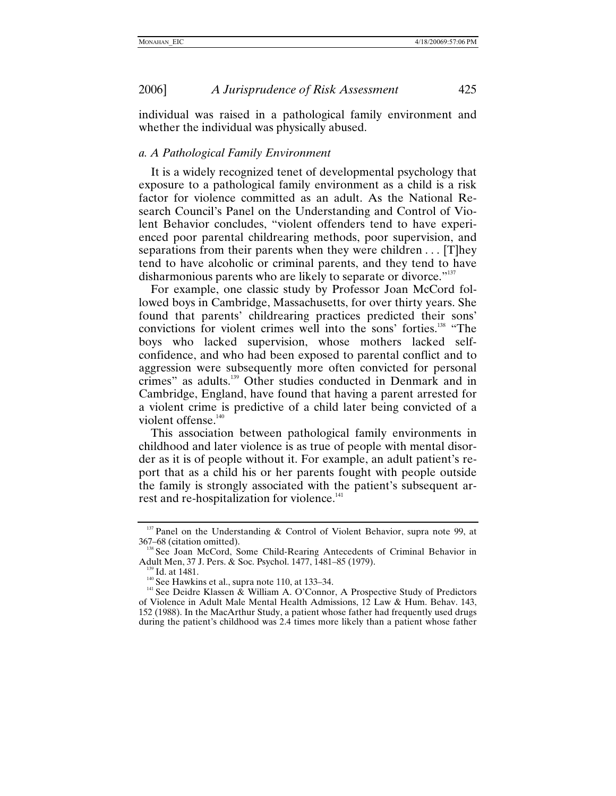<span id="page-34-0"></span>individual was raised in a pathological family environment and whether the individual was physically abused.

#### *a. A Pathological Family Environment*

It is a widely recognized tenet of developmental psychology that exposure to a pathological family environment as a child is a risk factor for violence committed as an adult. As the National Research Council's Panel on the Understanding and Control of Violent Behavior concludes, "violent offenders tend to have experienced poor parental childrearing methods, poor supervision, and separations from their parents when they were children . . . [T]hey tend to have alcoholic or criminal parents, and they tend to have disharmonious parents who are likely to separate or divorce."<sup>[137](#page-34-1)</sup>

For example, one classic study by Professor Joan McCord followed boys in Cambridge, Massachusetts, for over thirty years. She found that parents' childrearing practices predicted their sons' convictions for violent crimes well into the sons' forties.<sup>138</sup> "The boys who lacked supervision, whose mothers lacked selfconfidence, and who had been exposed to parental conflict and to aggression were subsequently more often convicted for personal crimes" as adults[.139](#page-34-3) Other studies conducted in Denmark and in Cambridge, England, have found that having a parent arrested for a violent crime is predictive of a child later being convicted of a violent offense.<sup>[140](#page-34-4)</sup>

This association between pathological family environments in childhood and later violence is as true of people with mental disorder as it is of people without it. For example, an adult patient's report that as a child his or her parents fought with people outside the family is strongly associated with the patient's subsequent arrest and re-hospitalization for violence.<sup>141</sup>

<span id="page-34-1"></span><sup>&</sup>lt;sup>137</sup> Panel on the Understanding & Control of Violent Behavior, supra note 99, at 367–68 (citation omitted).

<span id="page-34-2"></span>See Joan McCord, Some Child-Rearing Antecedents of Criminal Behavior in Adult Men, 37 J. Pers. & Soc. Psychol. 1477, 1481–85 (1979).<br><sup>139</sup> Id. at 1481.<br><sup>140</sup> See Hawkins et al., supra note 110, at 133–34.<br><sup>141</sup> See Deidre Klassen & William A. O'Connor, A Prospective Study of Predictors

<span id="page-34-3"></span>

<span id="page-34-4"></span>

<span id="page-34-5"></span>of Violence in Adult Male Mental Health Admissions, 12 Law & Hum. Behav. 143, 152 (1988). In the MacArthur Study, a patient whose father had frequently used drugs during the patient's childhood was 2.4 times more likely than a patient whose father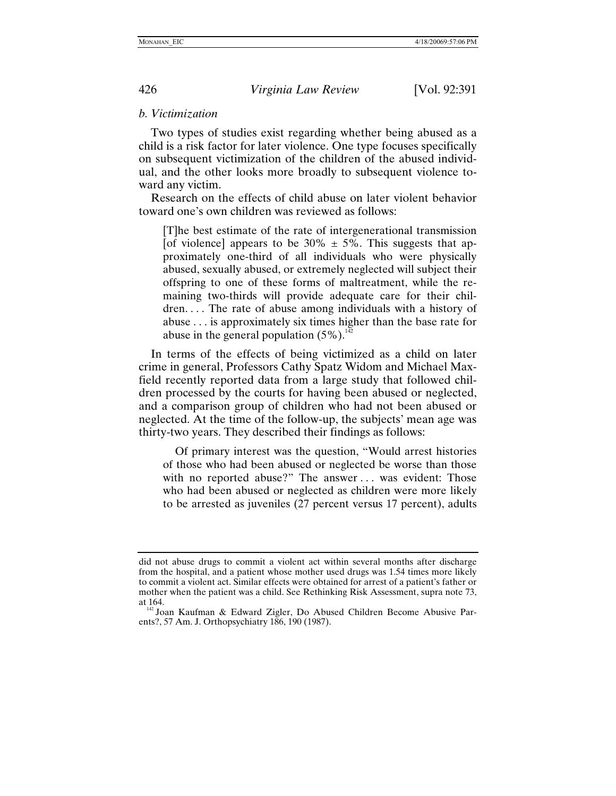#### *b. Victimization*

Two types of studies exist regarding whether being abused as a child is a risk factor for later violence. One type focuses specifically on subsequent victimization of the children of the abused individual, and the other looks more broadly to subsequent violence toward any victim.

Research on the effects of child abuse on later violent behavior toward one's own children was reviewed as follows:

[T]he best estimate of the rate of intergenerational transmission [of violence] appears to be  $30\% \pm 5\%$ . This suggests that approximately one-third of all individuals who were physically abused, sexually abused, or extremely neglected will subject their offspring to one of these forms of maltreatment, while the remaining two-thirds will provide adequate care for their children. . . . The rate of abuse among individuals with a history of abuse . . . is approximately six times higher than the base rate for abuse in the general population  $(5\%)$ .<sup>[142](#page-35-1)</sup>

In terms of the effects of being victimized as a child on later crime in general, Professors Cathy Spatz Widom and Michael Maxfield recently reported data from a large study that followed children processed by the courts for having been abused or neglected, and a comparison group of children who had not been abused or neglected. At the time of the follow-up, the subjects' mean age was thirty-two years. They described their findings as follows:

Of primary interest was the question, "Would arrest histories of those who had been abused or neglected be worse than those with no reported abuse?" The answer ... was evident: Those who had been abused or neglected as children were more likely to be arrested as juveniles (27 percent versus 17 percent), adults

<span id="page-35-0"></span>

did not abuse drugs to commit a violent act within several months after discharge from the hospital, and a patient whose mother used drugs was 1.54 times more likely to commit a violent act. Similar effects were obtained for arrest of a patient's father or mother when the patient was a child. See Rethinking Risk Assessment, supra note 73, at 164.<br><sup>142</sup> Joan Kaufman & Edward Zigler, Do Abused Children Become Abusive Par-

<span id="page-35-1"></span>ents?, 57 Am. J. Orthopsychiatry 186, 190 (1987).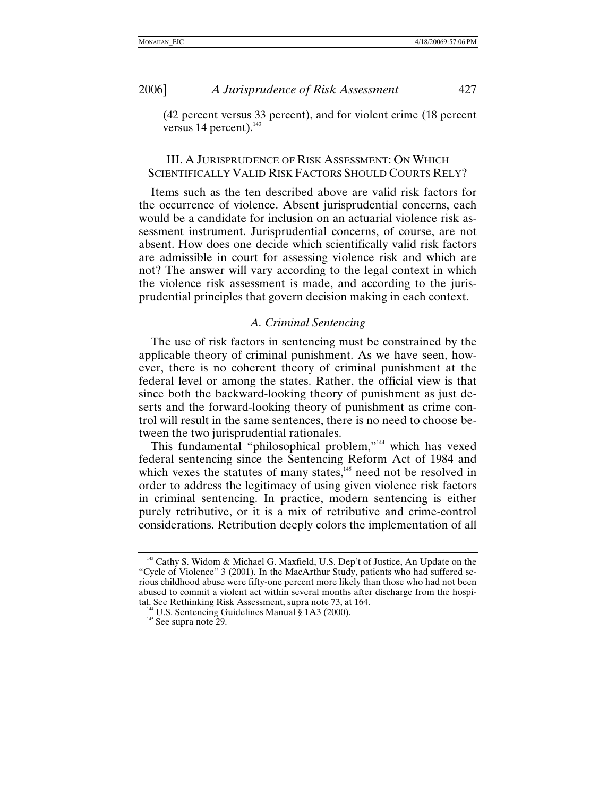<span id="page-36-0"></span>

(42 percent versus 33 percent), and for violent crime (18 percent versus 14 percent)[.](#page-36-1)<sup>143</sup>

# III. A JURISPRUDENCE OF RISK ASSESSMENT: ON WHICH SCIENTIFICALLY VALID RISK FACTORS SHOULD COURTS RELY?

Items such as the ten described above are valid risk factors for the occurrence of violence. Absent jurisprudential concerns, each would be a candidate for inclusion on an actuarial violence risk assessment instrument. Jurisprudential concerns, of course, are not absent. How does one decide which scientifically valid risk factors are admissible in court for assessing violence risk and which are not? The answer will vary according to the legal context in which the violence risk assessment is made, and according to the jurisprudential principles that govern decision making in each context.

## *A. Criminal Sentencing*

The use of risk factors in sentencing must be constrained by the applicable theory of criminal punishment. As we have seen, however, there is no coherent theory of criminal punishment at the federal level or among the states. Rather, the official view is that since both the backward-looking theory of punishment as just deserts and the forward-looking theory of punishment as crime control will result in the same sentences, there is no need to choose between the two jurisprudential rationales.

This fundamental "philosophical problem,["144](#page-36-2) which has vexed federal sentencing since the Sentencing Reform Act of 1984 and which vexes the statutes of many states,<sup>145</sup> need not be resolved in order to address the legitimacy of using given violence risk factors in criminal sentencing. In practice, modern sentencing is either purely retributive, or it is a mix of retributive and crime-control considerations. Retribution deeply colors the implementation of all

<span id="page-36-1"></span><sup>&</sup>lt;sup>143</sup> Cathy S. Widom & Michael G. Maxfield, U.S. Dep't of Justice, An Update on the "Cycle of Violence" 3 (2001). In the MacArthur Study, patients who had suffered serious childhood abuse were fifty-one percent more likely than those who had not been abused to commit a violent act within several months after discharge from the hospital. See Rethinking Risk Assessment, supra note 73, at 164.

<span id="page-36-3"></span><span id="page-36-2"></span><sup>&</sup>lt;sup>144</sup> U.S. Sentencing Guidelines Manual § 1A3 (2000). <sup>145</sup> See supra note 29.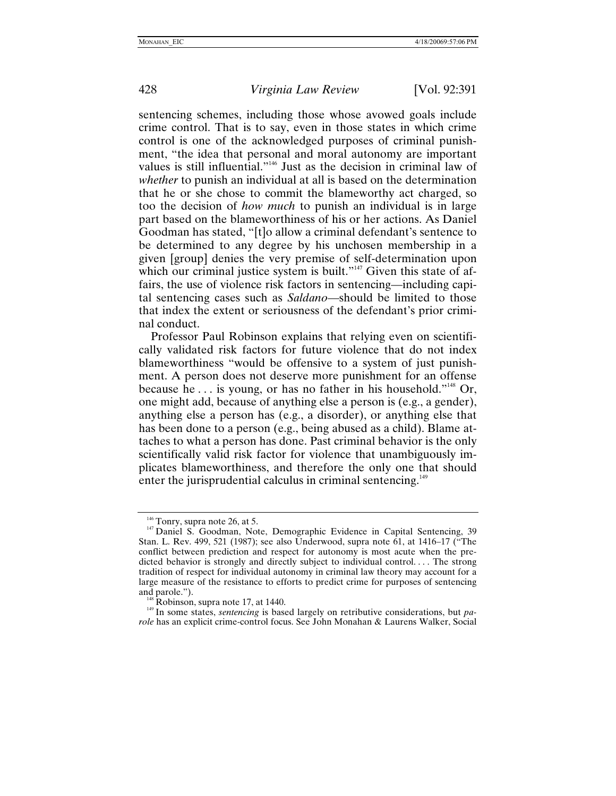sentencing schemes, including those whose avowed goals include crime control. That is to say, even in those states in which crime control is one of the acknowledged purposes of criminal punishment, "the idea that personal and moral autonomy are important values is still influential.["146](#page-37-0) Just as the decision in criminal law of *whether* to punish an individual at all is based on the determination that he or she chose to commit the blameworthy act charged, so too the decision of *how much* to punish an individual is in large part based on the blameworthiness of his or her actions. As Daniel Goodman has stated, "[t]o allow a criminal defendant's sentence to be determined to any degree by his unchosen membership in a given [group] denies the very premise of self-determination upon which our criminal justice system is built."<sup>147</sup> Given this state of affairs, the use of violence risk factors in sentencing—including capital sentencing cases such as *Saldano*—should be limited to those that index the extent or seriousness of the defendant's prior criminal conduct.

Professor Paul Robinson explains that relying even on scientifically validated risk factors for future violence that do not index blameworthiness "would be offensive to a system of just punishment. A person does not deserve more punishment for an offense because he . . . is young, or has no father in his household."[148](#page-37-2) Or, one might add, because of anything else a person is (e.g., a gender), anything else a person has (e.g., a disorder), or anything else that has been done to a person (e.g., being abused as a child). Blame attaches to what a person has done. Past criminal behavior is the only scientifically valid risk factor for violence that unambiguously implicates blameworthiness, and therefore the only one that should enter the jurisprudential calculus in criminal sentencing.<sup>[149](#page-37-3)</sup>

<span id="page-37-1"></span><span id="page-37-0"></span><sup>&</sup>lt;sup>146</sup> Tonry, supra note 26, at 5.<br><sup>147</sup> Daniel S. Goodman, Note, Demographic Evidence in Capital Sentencing, 39 Stan. L. Rev. 499, 521 (1987); see also Underwood, supra note 61, at 1416–17 ("The conflict between prediction and respect for autonomy is most acute when the predicted behavior is strongly and directly subject to individual control.... The strong tradition of respect for individual autonomy in criminal law theory may account for a large measure of the resistance to efforts to predict crime for purposes of sentencing

<span id="page-37-3"></span>

<span id="page-37-2"></span>and parole.").<br><sup>148</sup> Robinson, supra note 17, at 1440.<br><sup>149</sup> In some states, *sentencing* is based largely on retributive considerations, but *parole* has an explicit crime-control focus. See John Monahan & Laurens Walker, Social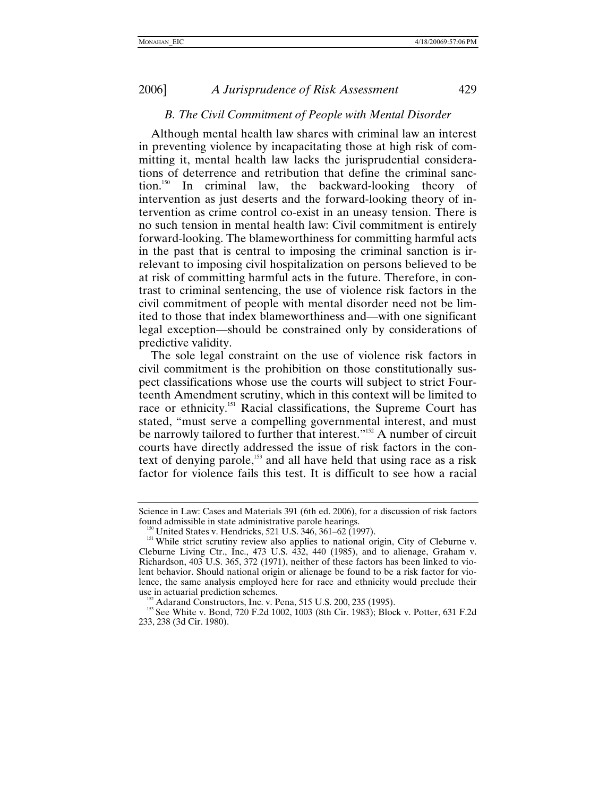### *B. The Civil Commitment of People with Mental Disorder*

<span id="page-38-0"></span>Although mental health law shares with criminal law an interest in preventing violence by incapacitating those at high risk of committing it, mental health law lacks the jurisprudential considerations of deterrence and retribution that define the criminal sanction.[150](#page-38-1) In criminal law, the backward-looking theory of intervention as just deserts and the forward-looking theory of intervention as crime control co-exist in an uneasy tension. There is no such tension in mental health law: Civil commitment is entirely forward-looking. The blameworthiness for committing harmful acts in the past that is central to imposing the criminal sanction is irrelevant to imposing civil hospitalization on persons believed to be at risk of committing harmful acts in the future. Therefore, in contrast to criminal sentencing, the use of violence risk factors in the civil commitment of people with mental disorder need not be limited to those that index blameworthiness and—with one significant legal exception—should be constrained only by considerations of predictive validity.

The sole legal constraint on the use of violence risk factors in civil commitment is the prohibition on those constitutionally suspect classifications whose use the courts will subject to strict Fourteenth Amendment scrutiny, which in this context will be limited to race or ethnicity.<sup>151</sup> Racial classifications, the Supreme Court has stated, "must serve a compelling governmental interest, and must be narrowly tailored to further that interest."<sup>152</sup> A number of circuit courts have directly addressed the issue of risk factors in the context of denying parole,<sup>153</sup> and all have held that using race as a risk factor for violence fails this test. It is difficult to see how a racial

Science in Law: Cases and Materials 391 (6th ed. 2006), for a discussion of risk factors found admissible in state administrative parole hearings.<br><sup>150</sup> United States v. Hendricks, 521 U.S. 346, 361–62 (1997).<br><sup>151</sup> While strict scrutiny review also applies to national origin, City of Cleburne v.

<span id="page-38-1"></span>

<span id="page-38-2"></span>Cleburne Living Ctr., Inc., 473 U.S. 432, 440 (1985), and to alienage, Graham v. Richardson, 403 U.S. 365, 372 (1971), neither of these factors has been linked to violent behavior. Should national origin or alienage be found to be a risk factor for violence, the same analysis employed here for race and ethnicity would preclude their

<span id="page-38-4"></span><span id="page-38-3"></span><sup>&</sup>lt;sup>152</sup> Adarand Constructors, Inc. v. Pena, 515 U.S. 200, 235 (1995). <br><sup>153</sup> See White v. Bond, 720 F.2d 1002, 1003 (8th Cir. 1983); Block v. Potter, 631 F.2d 233, 238 (3d Cir. 1980).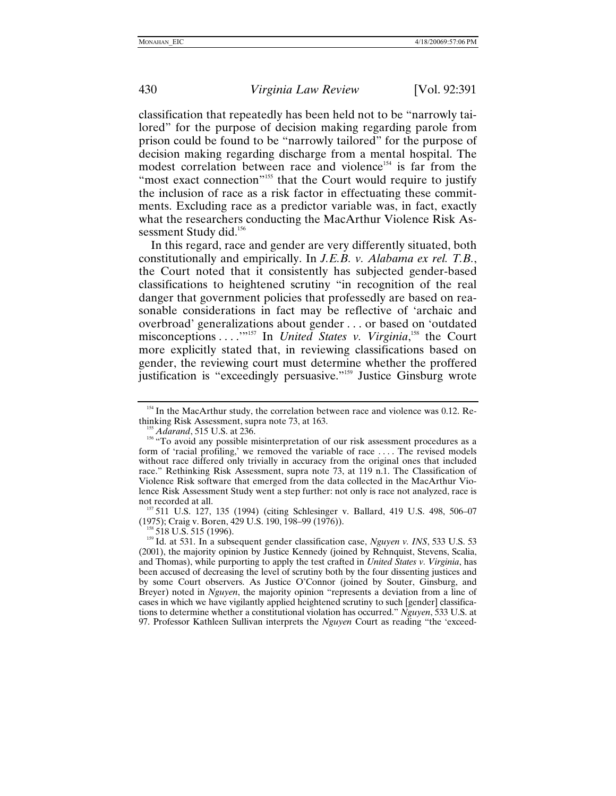classification that repeatedly has been held not to be "narrowly tailored" for the purpose of decision making regarding parole from prison could be found to be "narrowly tailored" for the purpose of decision making regarding discharge from a mental hospital. The modest correlation between race and violence<sup>154</sup> is far from the "most exact connection"<sup>155</sup> that the Court would require to justify the inclusion of race as a risk factor in effectuating these commitments. Excluding race as a predictor variable was, in fact, exactly what the researchers conducting the MacArthur Violence Risk Assessment Study did.<sup>156</sup>

In this regard, race and gender are very differently situated, both constitutionally and empirically. In *J.E.B. v. Alabama ex rel. T.B.*, the Court noted that it consistently has subjected gender-based classifications to heightened scrutiny "in recognition of the real danger that government policies that professedly are based on reasonable considerations in fact may be reflective of 'archaic and overbroad' generalizations about gender . . . or based on 'outdated misconceptions . . . .<sup>'''157</sup> In *United States v. Virginia*<sup>158</sup>, the Court more explicitly stated that, in reviewing classifications based on gender, the reviewing court must determine whether the proffered justification is "exceedingly persuasive."<sup>159</sup> Justice Ginsburg wrote

<span id="page-39-0"></span><sup>&</sup>lt;sup>154</sup> In the MacArthur study, the correlation between race and violence was 0.12. Re-

<span id="page-39-2"></span><span id="page-39-1"></span>

thinking Risk Assessment, supra note 73, at 163.<br><sup>155</sup> *Adarand*, 515 U.S. at 236.<br><sup>156</sup> "To avoid any possible misinterpretation of our risk assessment procedures as a form of 'racial profiling,' we removed the variable of race . . . . The revised models without race differed only trivially in accuracy from the original ones that included race." Rethinking Risk Assessment, supra note 73, at 119 n.1. The Classification of Violence Risk software that emerged from the data collected in the MacArthur Violence Risk Assessment Study went a step further: not only is race not analyzed, race is

<span id="page-39-3"></span>not recorded at all.<br><sup>157</sup> 511 U.S. 127, 135 (1994) (citing Schlesinger v. Ballard, 419 U.S. 498, 506–07<br>(1975); Craig v. Boren, 429 U.S. 190, 198–99 (1976)).

<span id="page-39-5"></span><span id="page-39-4"></span><sup>&</sup>lt;sup>158</sup> 518 U.S. 515 (1996).<br><sup>159</sup> Id. at 531. In a subsequent gender classification case, *Nguyen v. INS*, 533 U.S. 53 (2001), the majority opinion by Justice Kennedy (joined by Rehnquist, Stevens, Scalia, and Thomas), while purporting to apply the test crafted in *United States v. Virginia*, has been accused of decreasing the level of scrutiny both by the four dissenting justices and by some Court observers. As Justice O'Connor (joined by Souter, Ginsburg, and Breyer) noted in *Nguyen*, the majority opinion "represents a deviation from a line of cases in which we have vigilantly applied heightened scrutiny to such [gender] classifications to determine whether a constitutional violation has occurred." *Nguyen*, 533 U.S. at 97. Professor Kathleen Sullivan interprets the *Nguyen* Court as reading "the 'exceed-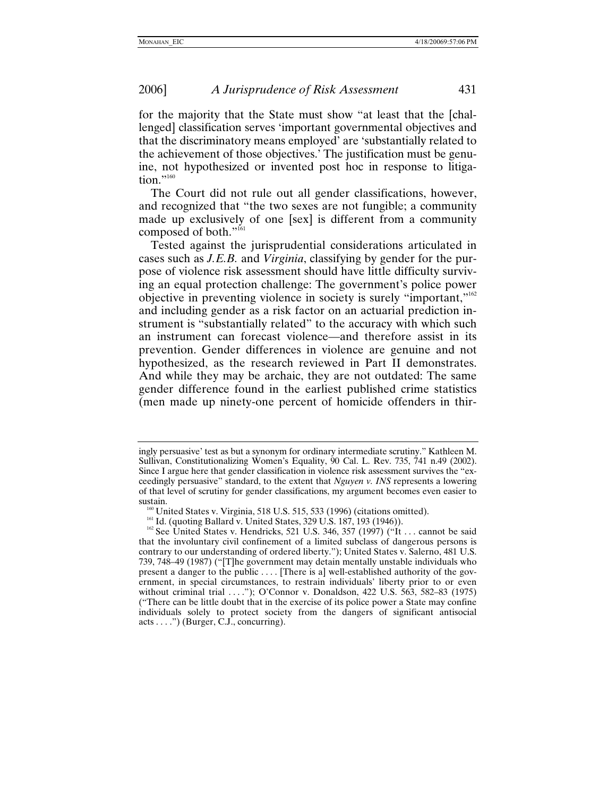for the majority that the State must show "at least that the [challenged] classification serves 'important governmental objectives and that the discriminatory means employed' are 'substantially related to the achievement of those objectives.' The justification must be genuine, not hypothesized or invented post hoc in response to litigation." $160$ 

The Court did not rule out all gender classifications, however, and recognized that "the two sexes are not fungible; a community made up exclusively of one [sex] is different from a community composed of both."<sup>161</sup>

Tested against the jurisprudential considerations articulated in cases such as *J.E.B.* and *Virginia*, classifying by gender for the purpose of violence risk assessment should have little difficulty surviving an equal protection challenge: The government's police power objective in preventing violence in society is surely "important,["162](#page-40-2) and including gender as a risk factor on an actuarial prediction instrument is "substantially related" to the accuracy with which such an instrument can forecast violence—and therefore assist in its prevention. Gender differences in violence are genuine and not hypothesized, as the research reviewed in Part II demonstrates. And while they may be archaic, they are not outdated: The same gender difference found in the earliest published crime statistics (men made up ninety-one percent of homicide offenders in thir-

ingly persuasive' test as but a synonym for ordinary intermediate scrutiny." Kathleen M. Sullivan, Constitutionalizing Women's Equality, 90 Cal. L. Rev. 735, 741 n.49 (2002). Since I argue here that gender classification in violence risk assessment survives the "exceedingly persuasive" standard, to the extent that *Nguyen v. INS* represents a lowering of that level of scrutiny for gender classifications, my argument becomes even easier to

<span id="page-40-2"></span><span id="page-40-1"></span>

<span id="page-40-0"></span>sustain.<br>
<sup>160</sup> United States v. Virginia, 518 U.S. 515, 533 (1996) (citations omitted).<br>
<sup>161</sup> Id. (quoting Ballard v. United States, 329 U.S. 187, 193 (1946)).<br>
<sup>162</sup> See United States v. Hendricks, 521 U.S. 346, 357 (1 that the involuntary civil confinement of a limited subclass of dangerous persons is contrary to our understanding of ordered liberty."); United States v. Salerno, 481 U.S. 739, 748–49 (1987) ("[T]he government may detain mentally unstable individuals who present a danger to the public . . . . [There is a] well-established authority of the government, in special circumstances, to restrain individuals' liberty prior to or even without criminal trial ...."); O'Connor v. Donaldson, 422 U.S. 563, 582-83 (1975) ("There can be little doubt that in the exercise of its police power a State may confine individuals solely to protect society from the dangers of significant antisocial  $acts \ldots$ ") (Burger, C.J., concurring).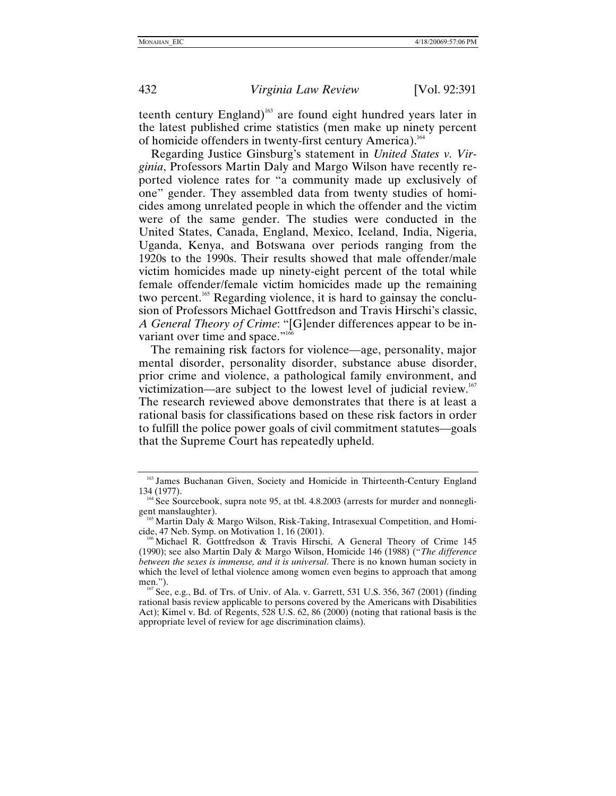teenth century England)<sup>163</sup> are found eight hundred years later in the latest published crime statistics (men make up ninety percent of homicide offenders in twenty-first century America)[.164](#page-41-1)

Regarding Justice Ginsburg's statement in *United States v. Virginia*, Professors Martin Daly and Margo Wilson have recently reported violence rates for "a community made up exclusively of one" gender. They assembled data from twenty studies of homicides among unrelated people in which the offender and the victim were of the same gender. The studies were conducted in the United States, Canada, England, Mexico, Iceland, India, Nigeria, Uganda, Kenya, and Botswana over periods ranging from the 1920s to the 1990s. Their results showed that male offender/male victim homicides made up ninety-eight percent of the total while female offender/female victim homicides made up the remaining two percent.<sup>165</sup> Regarding violence, it is hard to gainsay the conclusion of Professors Michael Gottfredson and Travis Hirschi's classic, *A General Theory of Crime*: "[G]ender differences appear to be invariant over time and space."<sup>16</sup>

The remaining risk factors for violence—age, personality, major mental disorder, personality disorder, substance abuse disorder, prior crime and violence, a pathological family environment, and victimization—are subject to the lowest level of judicial review.<sup>167</sup> The research reviewed above demonstrates that there is at least a rational basis for classifications based on these risk factors in order to fulfill the police power goals of civil commitment statutes—goals that the Supreme Court has repeatedly upheld.

<span id="page-41-0"></span> $163$  James Buchanan Given, Society and Homicide in Thirteenth-Century England 134 (1977).

<span id="page-41-1"></span><sup>&</sup>lt;sup>164</sup> See Sourcebook, supra note 95, at tbl. 4.8.2003 (arrests for murder and nonnegli-

<span id="page-41-2"></span>gent manslaughter).<br><sup>165</sup> Martin Daly & Margo Wilson, Risk-Taking, Intrasexual Competition, and Homi-<br>cide, 47 Neb. Symp. on Motivation 1, 16 (2001).

<span id="page-41-3"></span> $\delta$ Michael R. Gottfredson & Travis Hirschi, A General Theory of Crime 145 (1990); see also Martin Daly & Margo Wilson, Homicide 146 (1988) ("*The difference between the sexes is immense, and it is universal*. There is no known human society in which the level of lethal violence among women even begins to approach that among men.").

<span id="page-41-4"></span> $^{167}$  See, e.g., Bd. of Trs. of Univ. of Ala. v. Garrett, 531 U.S. 356, 367 (2001) (finding rational basis review applicable to persons covered by the Americans with Disabilities Act); Kimel v. Bd. of Regents, 528 U.S. 62, 86 (2000) (noting that rational basis is the appropriate level of review for age discrimination claims).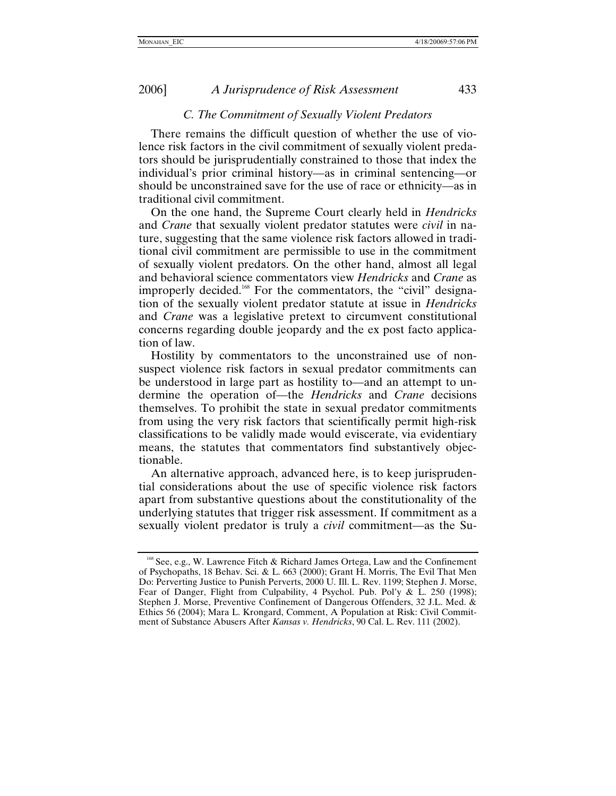### *C. The Commitment of Sexually Violent Predators*

<span id="page-42-0"></span>There remains the difficult question of whether the use of violence risk factors in the civil commitment of sexually violent predators should be jurisprudentially constrained to those that index the individual's prior criminal history—as in criminal sentencing—or should be unconstrained save for the use of race or ethnicity—as in traditional civil commitment.

On the one hand, the Supreme Court clearly held in *Hendricks* and *Crane* that sexually violent predator statutes were *civil* in nature, suggesting that the same violence risk factors allowed in traditional civil commitment are permissible to use in the commitment of sexually violent predators. On the other hand, almost all legal and behavioral science commentators view *Hendricks* and *Crane* as improperly decided[.168](#page-42-1) For the commentators, the "civil" designation of the sexually violent predator statute at issue in *Hendricks* and *Crane* was a legislative pretext to circumvent constitutional concerns regarding double jeopardy and the ex post facto application of law.

Hostility by commentators to the unconstrained use of nonsuspect violence risk factors in sexual predator commitments can be understood in large part as hostility to—and an attempt to undermine the operation of—the *Hendricks* and *Crane* decisions themselves. To prohibit the state in sexual predator commitments from using the very risk factors that scientifically permit high-risk classifications to be validly made would eviscerate, via evidentiary means, the statutes that commentators find substantively objectionable.

An alternative approach, advanced here, is to keep jurisprudential considerations about the use of specific violence risk factors apart from substantive questions about the constitutionality of the underlying statutes that trigger risk assessment. If commitment as a sexually violent predator is truly a *civil* commitment—as the Su-

<span id="page-42-1"></span><sup>&</sup>lt;sup>168</sup> See, e.g., W. Lawrence Fitch & Richard James Ortega, Law and the Confinement of Psychopaths, 18 Behav. Sci. & L. 663 (2000); Grant H. Morris, The Evil That Men Do: Perverting Justice to Punish Perverts, 2000 U. Ill. L. Rev. 1199; Stephen J. Morse, Fear of Danger, Flight from Culpability, 4 Psychol. Pub. Pol'y & L. 250 (1998); Stephen J. Morse, Preventive Confinement of Dangerous Offenders, 32 J.L. Med. & Ethics 56 (2004); Mara L. Krongard, Comment, A Population at Risk: Civil Commitment of Substance Abusers After *Kansas v. Hendricks*, 90 Cal. L. Rev. 111 (2002).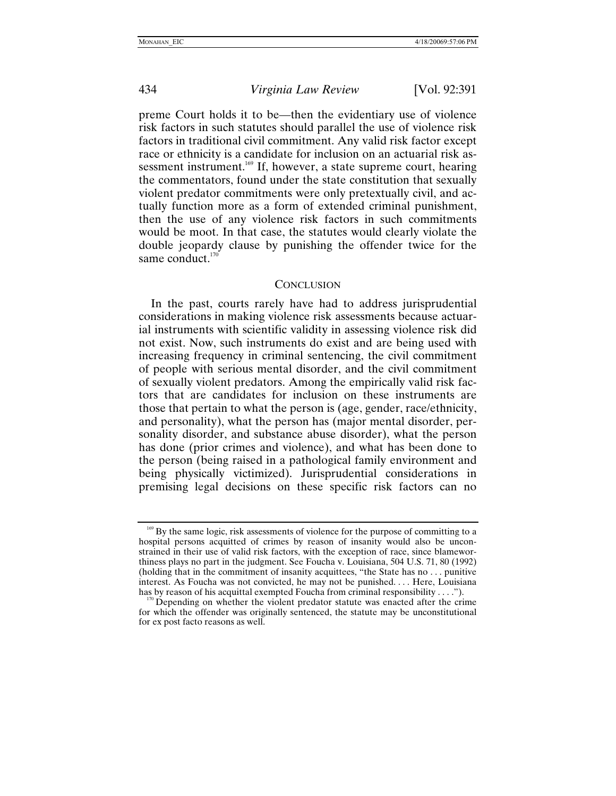<span id="page-43-0"></span>

preme Court holds it to be—then the evidentiary use of violence risk factors in such statutes should parallel the use of violence risk factors in traditional civil commitment. Any valid risk factor except race or ethnicity is a candidate for inclusion on an actuarial risk assessment instrument.<sup>169</sup> If, however, a state supreme court, hearing the commentators, found under the state constitution that sexually violent predator commitments were only pretextually civil, and actually function more as a form of extended criminal punishment, then the use of any violence risk factors in such commitments would be moot. In that case, the statutes would clearly violate the double jeopardy clause by punishing the offender twice for the same conduct. $170$ 

#### **CONCLUSION**

In the past, courts rarely have had to address jurisprudential considerations in making violence risk assessments because actuarial instruments with scientific validity in assessing violence risk did not exist. Now, such instruments do exist and are being used with increasing frequency in criminal sentencing, the civil commitment of people with serious mental disorder, and the civil commitment of sexually violent predators. Among the empirically valid risk factors that are candidates for inclusion on these instruments are those that pertain to what the person is (age, gender, race/ethnicity, and personality), what the person has (major mental disorder, personality disorder, and substance abuse disorder), what the person has done (prior crimes and violence), and what has been done to the person (being raised in a pathological family environment and being physically victimized). Jurisprudential considerations in premising legal decisions on these specific risk factors can no

<span id="page-43-1"></span><sup>169</sup> By the same logic, risk assessments of violence for the purpose of committing to a hospital persons acquitted of crimes by reason of insanity would also be unconstrained in their use of valid risk factors, with the exception of race, since blameworthiness plays no part in the judgment. See Foucha v. Louisiana, 504 U.S. 71, 80 (1992) (holding that in the commitment of insanity acquittees, "the State has no . . . punitive interest. As Foucha was not convicted, he may not be punished. . . . Here, Louisiana has by reason of his acquittal exempted Foucha from criminal responsibility . . . .").

<span id="page-43-2"></span> $170$  Depending on whether the violent predator statute was enacted after the crime for which the offender was originally sentenced, the statute may be unconstitutional for ex post facto reasons as well.